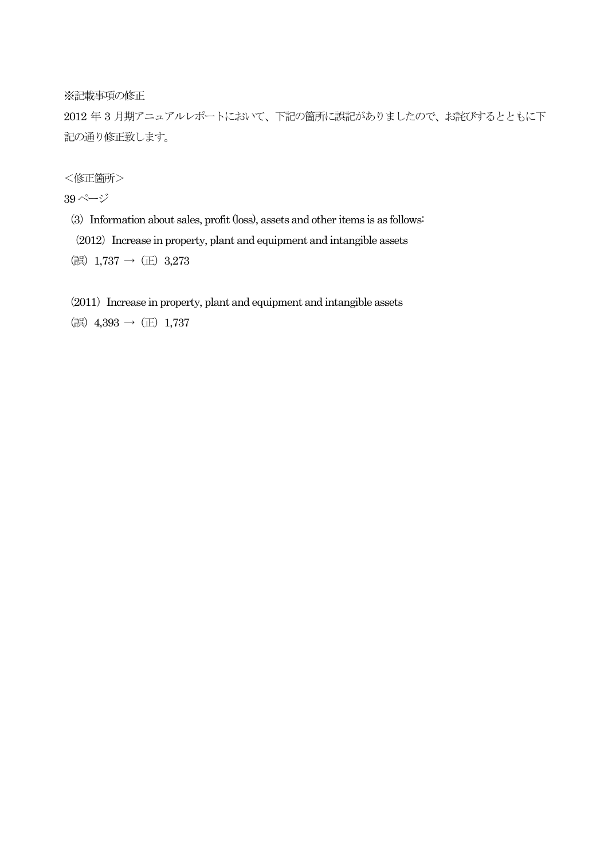※記載事項の修正

2012 年 3 月期アニュアルレポートにおいて、下記の箇所に誤記がありましたので、お詫びするとともに下 記の通り修正致します。

<修正箇所>

39ページ

(3) Information about sales, profit (loss), assets and other items is as follows:

 $(2012)$  Increase in property, plant and equipment and intangible assets

(誤) 1,737 → (正) 3,273

 $(2011)$  Increase in property, plant and equipment and intangible assets

(誤)  $4,393$  → (正) 1,737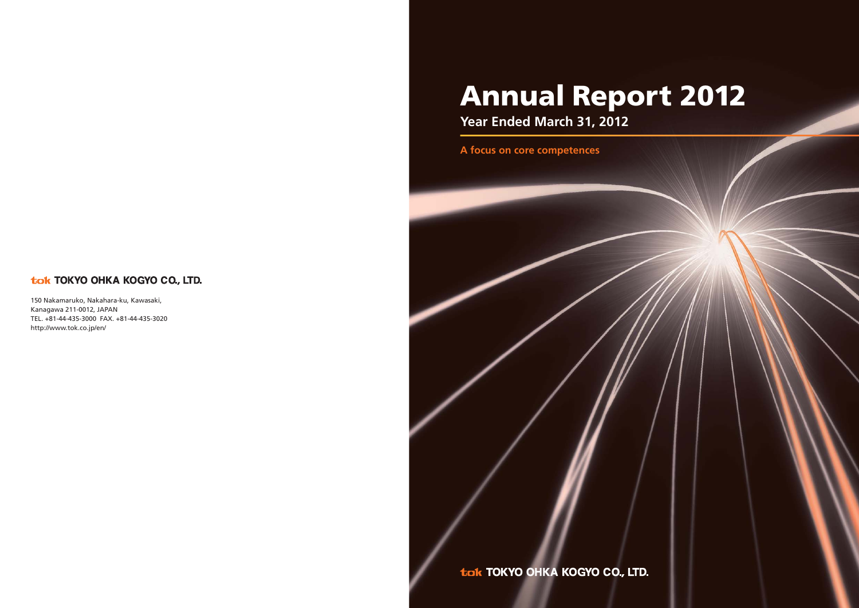# tok TOKYO OHKA KOGYO CO., LTD.

150 Nakamaruko, Nakahara-ku, Kawasaki, Kanagawa 211-0012, JAPAN TEL. +81-44-435-3000 FAX. +81-44-435-3020 http://www.tok.co.jp/en/

# **Annual Report 2012**

**Year Ended March 31, 2012**

**A focus on core competences**

tok TOKYO OHKA KOGYO CO., LTD.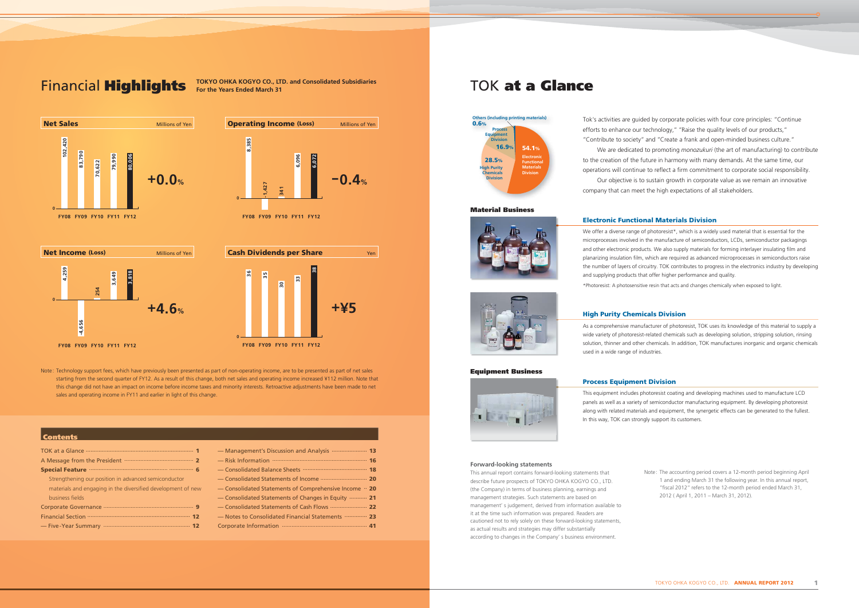Financial **Highlights** TOKYO OHKA KOGYO CO., LTD. and Consolidated Subsidiaries **TOK** at a Glance

**Operating Income (Loss)** Millions of Yen

# **Contents**

| <b>Special Feature</b>                                       |
|--------------------------------------------------------------|
| Strengthening our position in advanced semiconductor         |
| materials and engaging in the diversified development of new |
| business fields                                              |
|                                                              |
|                                                              |
|                                                              |







| - Management's Discussion and Analysis  13                           |  |
|----------------------------------------------------------------------|--|
|                                                                      |  |
|                                                                      |  |
|                                                                      |  |
| $-$ Consolidated Statements of Comprehensive Income $\cdot \cdot$ 20 |  |
| - Consolidated Statements of Changes in Equity ……… 21                |  |
|                                                                      |  |
| -Notes to Consolidated Financial Statements ………… 23                  |  |
|                                                                      |  |
|                                                                      |  |

**FY08 FY09 FY10 FY11 FY12**

**FY08 FY09 FY10 FY11 FY12**

**0**

**8,385**

**-1,427**

**341**

**6,096**

**6,072**

 $-0.4%$ 

We offer a diverse range of photoresist\*, which is a widely used material that is essential for the microprocesses involved in the manufacture of semiconductors, LCDs, semiconductor packagings and other electronic products. We also supply materials for forming interlayer insulating film and planarizing insulation film, which are required as advanced microprocesses in semiconductors raise the number of layers of circuitry. TOK contributes to progress in the electronics industry by developing and supplying products that offer higher performance and quality.

Tok's activities are guided by corporate policies with four core principles: "Continue efforts to enhance our technology," "Raise the quality levels of our products," "Contribute to society" and "Create a frank and open-minded business culture." We are dedicated to promoting *monozukuri* (the art of manufacturing) to contribute to the creation of the future in harmony with many demands. At the same time, our operations will continue to reflect a firm commitment to corporate social responsibility. Our objective is to sustain growth in corporate value as we remain an innovative company that can meet the high expectations of all stakeholders.

# **Forward-looking statements**

This annual report contains forward-looking statements that describe future prospects of TOKYO OHKA KOGYO CO., LTD. (the Company) in terms of business planning, earnings and management strategies. Such statements are based on management' s judgement, derived from information available to it at the time such information was prepared. Readers are cautioned not to rely solely on these forward-looking statements, as actual results and strategies may differ substantially according to changes in the Company' s business environment.

Note: The accounting period covers a 12-month period beginning April 1 and ending March 31 the following year. In this annual report, "fiscal 2012" refers to the 12-month period ended March 31, 2012 ( April 1, 2011 – March 31, 2012).

# **Material Business**





# **Electronic Functional Materials Division**

\*Photoresist: A photosensitive resin that acts and changes chemically when exposed to light.

# **High Purity Chemicals Division**

As a comprehensive manufacturer of photoresist, TOK uses its knowledge of this material to supply a wide variety of photoresist-related chemicals such as developing solution, stripping solution, rinsing solution, thinner and other chemicals. In addition, TOK manufactures inorganic and organic chemicals used in a wide range of industries.

# **Process Equipment Division**

This equipment includes photoresist coating and developing machines used to manufacture LCD panels as well as a variety of semiconductor manufacturing equipment. By developing photoresist along with related materials and equipment, the synergetic effects can be generated to the fullest. In this way, TOK can strongly support its customers.

# **Equipment Business**





Note: Technology support fees, which have previously been presented as part of non-operating income, are to be presented as part of net sales starting from the second quarter of FY12. As a result of this change, both net sales and operating income increased ¥112 million. Note that this change did not have an impact on income before income taxes and minority interests. Retroactive adjustments have been made to net sales and operating income in FY11 and earlier in light of this change.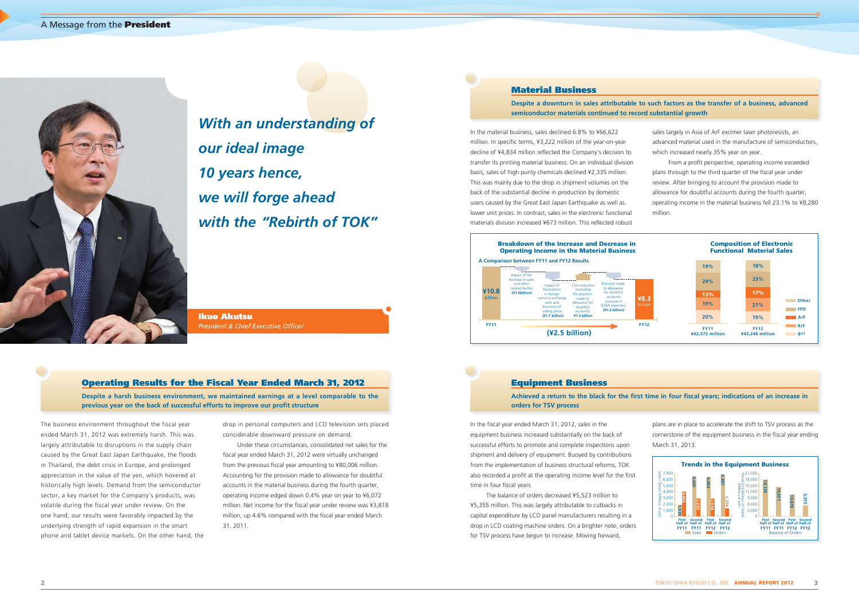

In the material business, sales declined 6.8% to ¥66,622 million. In specific terms, ¥3,222 million of the year-on-year decline of ¥4,834 million reflected the Company's decision to transfer its printing material business. On an individual division basis, sales of high purity chemicals declined ¥2,335 million. This was mainly due to the drop in shipment volumes on the back of the substantial decline in production by domestic users caused by the Great East Japan Earthquake as well as lower unit prices. In contrast, sales in the electronic functional materials division increased ¥673 million. This reflected robust

The business environment throughout the fiscal year ended March 31, 2012 was extremely harsh. This was largely attributable to disruptions in the supply chain caused by the Great East Japan Earthquake, the floods in Thailand, the debt crisis in Europe, and prolonged appreciation in the value of the yen, which hovered at historically high levels. Demand from the semiconductor sector, a key market for the Company's products, was volatile during the fiscal year under review. On the one hand, our results were favorably impacted by the underlying strength of rapid expansion in the smart phone and tablet device markets. On the other hand, the

 The balance of orders decreased ¥5,523 million to ¥5,355 million. This was largely attributable to cutbacks in capital expenditure by LCD panel manufacturers resulting in a drop in LCD coating machine orders. On a brighter note, orders for TSV process have begun to increase. Moving forward,

drop in personal computers and LCD television sets placed considerable downward pressure on demand.

**Despite a harsh business environment, we maintained earnings at a level comparable to the**  previous year on the back of successful efforts to improve our profit structure

> Under these circumstances, consolidated net sales for the fiscal year ended March 31, 2012 were virtually unchanged from the previous fiscal year amounting to ¥80,006 million. Accounting for the provision made to allowance for doubtful accounts in the material business during the fourth quarter, operating income edged down 0.4% year on year to ¥6,072 million. Net income for the fiscal year under review was ¥3,818 million, up 4.6% compared with the fiscal year ended March 31, 2011.

**Ikuo Akutsu President & Chief Executive Officer** 

- sales largely in Asia of ArF excimer laser photoresists, an advanced material used in the manufacture of semiconductors, which increased nearly 35% year on year.
- From a profit perspective, operating income exceeded plans through to the third quarter of the fiscal year under review. After bringing to account the provision made to allowance for doubtful accounts during the fourth quarter, operating income in the material business fell 23.1% to ¥8,280 million.

# Achieved a return to the black for the first time in four fiscal years; indications of an increase in

plans are in place to accelerate the shift to TSV process as the cornerstone of the equipment business in the fiscal year ending March 31, 2013.





# **Operating Results for the Fiscal Year Ended March 31, 2012**

# **Equipment Business**

**orders for TSV process**

In the fiscal year ended March 31, 2012, sales in the equipment business increased substantially on the back of successful efforts to promote and complete inspections upon shipment and delivery of equipment. Buoyed by contributions from the implementation of business structural reforms, TOK also recorded a profit at the operating income level for the first time in four fiscal years.

# **Material Business**

# **Despite a downturn in sales attributable to such factors as the transfer of a business, advanced**

**semiconductor materials continued to record substantial growth**

*With an understanding of our ideal image 10 years hence, we will forge ahead with the "Rebirth of TOK"*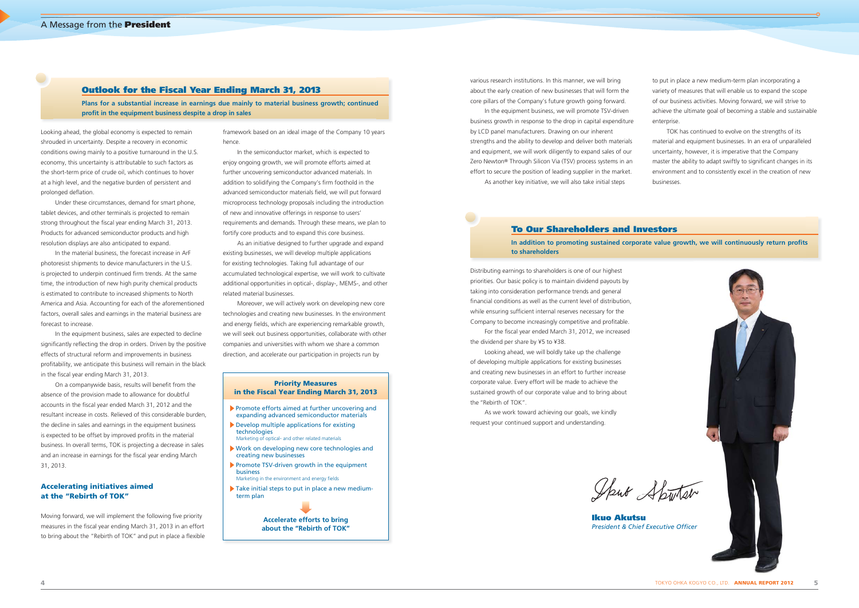Looking ahead, the global economy is expected to remain shrouded in uncertainty. Despite a recovery in economic conditions owing mainly to a positive turnaround in the U.S. economy, this uncertainty is attributable to such factors as the short-term price of crude oil, which continues to hover at a high level, and the negative burden of persistent and prolonged deflation.

In the equipment business, sales are expected to decline significantly reflecting the drop in orders. Driven by the positive effects of structural reform and improvements in business profi tability, we anticipate this business will remain in the black in the fiscal year ending March 31, 2013.

Under these circumstances, demand for smart phone, tablet devices, and other terminals is projected to remain strong throughout the fiscal year ending March 31, 2013. Products for advanced semiconductor products and high resolution displays are also anticipated to expand.

In the material business, the forecast increase in ArF photoresist shipments to device manufacturers in the U.S. is projected to underpin continued firm trends. At the same time, the introduction of new high purity chemical products is estimated to contribute to increased shipments to North America and Asia. Accounting for each of the aforementioned factors, overall sales and earnings in the material business are forecast to increase.

On a companywide basis, results will benefit from the absence of the provision made to allowance for doubtful accounts in the fiscal year ended March 31, 2012 and the resultant increase in costs. Relieved of this considerable burden, the decline in sales and earnings in the equipment business is expected to be offset by improved profits in the material business. In overall terms, TOK is projecting a decrease in sales and an increase in earnings for the fiscal year ending March 31, 2013.

Distributing earnings to shareholders is one of our highest priorities. Our basic policy is to maintain dividend payouts by taking into consideration performance trends and general financial conditions as well as the current level of distribution, while ensuring sufficient internal reserves necessary for the Company to become increasingly competitive and profitable.

For the fiscal year ended March 31, 2012, we increased the dividend per share by ¥5 to ¥38.

# **Accelerating initiatives aimed at the "Rebirth of TOK"**

Moving forward, we will implement the following five priority measures in the fiscal year ending March 31, 2013 in an effort to bring about the "Rebirth of TOK" and put in place a flexible

to put in place a new medium-term plan incorporating a variety of measures that will enable us to expand the scope of our business activities. Moving forward, we will strive to achieve the ultimate goal of becoming a stable and sustainable enterprise

**Ikuo Akutsu President & Chief Executive Officer** 

Looking ahead, we will boldly take up the challenge of developing multiple applications for existing businesses and creating new businesses in an effort to further increase corporate value. Every effort will be made to achieve the sustained growth of our corporate value and to bring about the "Rebirth of TOK".

**Plans for a substantial increase in earnings due mainly to material business growth; continued profit in the equipment business despite a drop in sales** 

> In addition to promoting sustained corporate value growth, we will continuously return profits **to shareholders**

As we work toward achieving our goals, we kindly request your continued support and understanding.

Sput Sputar

various research institutions. In this manner, we will bring about the early creation of new businesses that will form the core pillars of the Company's future growth going forward.

In the equipment business, we will promote TSV-driven business growth in response to the drop in capital expenditure by LCD panel manufacturers. Drawing on our inherent strengths and the ability to develop and deliver both materials and equipment, we will work diligently to expand sales of our Zero Newton® Through Silicon Via (TSV) process systems in an effort to secure the position of leading supplier in the market.

As another key initiative, we will also take initial steps

framework based on an ideal image of the Company 10 years hence.

In the semiconductor market, which is expected to enjoy ongoing growth, we will promote efforts aimed at further uncovering semiconductor advanced materials. In addition to solidifying the Company's firm foothold in the advanced semiconductor materials field, we will put forward microprocess technology proposals including the introduction of new and innovative offerings in response to users' requirements and demands. Through these means, we plan to fortify core products and to expand this core business.

As an initiative designed to further upgrade and expand existing businesses, we will develop multiple applications for existing technologies. Taking full advantage of our accumulated technological expertise, we will work to cultivate additional opportunities in optical-, display-, MEMS-, and other related material businesses.

Moreover, we will actively work on developing new core technologies and creating new businesses. In the environment and energy fields, which are experiencing remarkable growth, we will seek out business opportunities, collaborate with other companies and universities with whom we share a common direction, and accelerate our participation in projects run by

TOK has continued to evolve on the strengths of its material and equipment businesses. In an era of unparalleled uncertainty, however, it is imperative that the Company master the ability to adapt swiftly to significant changes in its environment and to consistently excel in the creation of new businesses.



# **Outlook for the Fiscal Year Ending March 31, 2013**

# **To Our Shareholders and Investors**

# **Priority Measures in the Fiscal Year Ending March 31, 2013**

- Promote efforts aimed at further uncovering and expanding advanced semiconductor materials
- Develop multiple applications for existing technologies Marketing of optical- and other related materials
- Work on developing new core technologies and creating new businesses
- Promote TSV-driven growth in the equipment business Marketing in the environment and energy fields
- Take initial steps to put in place a new medium-
- term plan

**Accelerate efforts to bring about the "Rebirth of TOK"**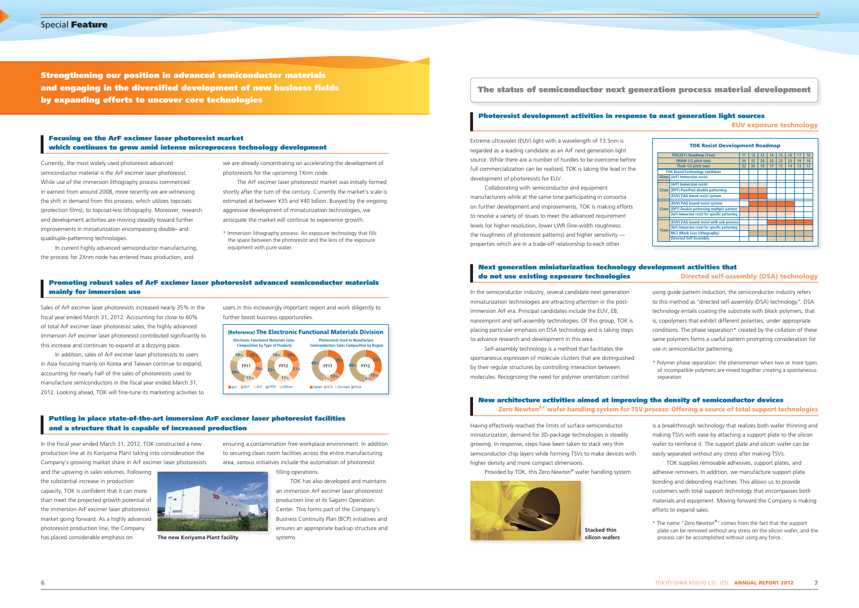**Strengthening our position in advanced semiconductor materials**  and engaging in the diversified development of new business fields **by expanding efforts to uncover core technologies**

**The status of semiconductor next generation process material development**

Currently, the most widely used photoresist advanced semiconductor material is the ArF excimer laser photoresist. While use of the immersion lithography process commenced in earnest from around 2008, more recently we are witnessing the shift in demand from this process, which utilizes topcoats (protection films), to topcoat-less lithography. Moreover, research and development activities are moving steadily toward further improvements in miniaturization encompassing double- and quadruple-patterning technologies.

In addition, sales of ArF excimer laser photoresists to users in Asia focusing mainly on Korea and Taiwan continue to expand, accounting for nearly half of the sales of photoresists used to manufacture semiconductors in the fiscal year ended March 31, 2012. Looking ahead, TOK will fine-tune its marketing activities to

In current highly advanced semiconductor manufacturing, the process for 2Xnm node has entered mass production, and

In the fiscal year ended March 31, 2012, TOK constructed a new production line at its Koriyama Plant taking into consideration the Company's growing market share in ArF excimer laser photoresists

Sales of ArF excimer laser photoresists increased nearly 35% in the fiscal year ended March 31, 2012. Accounting for close to 60% of total ArF excimer laser photoresist sales, the highly advanced immersion ArF excimer laser photoresist contributed significantly to this increase and continues to expand at a dizzying pace.

and the upswing in sales volumes. Following the substantial increase in production capacity, TOK is confident that it can more than meet the projected growth potential of the immersion ArF excimer laser photoresist market going forward. As a highly advanced photoresist production line, the Company has placed considerable emphasis on

Extreme ultraviolet (EUV) light with a wavelength of 13.5nm is regarded as a leading candidate as an ArF next generation light source. While there are a number of hurdles to be overcome before full commercialization can be realized, TOK is taking the lead in the development of photoresists for EUV.

Collaborating with semiconductor and equipment manufacturers while at the same time participating in consortia on further development and improvements, TOK is making efforts to resolve a variety of issues to meet the advanced requirement levels for higher resolution, lower LWR (line-width roughness: the roughness of photoresist patterns) and higher sensitivity properties which are in a trade-off relationship to each other.

Having effectively reached the limits of surface semiconductor miniaturization, demand for 3D-package technologies is steadily growing. In response, steps have been taken to stack very thin semiconductor chip layers while forming TSVs to make devices with higher density and more compact dimensions.

Provided by TOK, this Zero Newton® wafer handling system



In the semiconductor industry, several candidate next generation miniaturization technologies are attracting attention in the postimmersion ArF era. Principal candidates include the EUV, EB, nanoimprint and self-assembly technologies. Of this group, TOK is placing particular emphasis on DSA technology and is taking steps to advance research and development in this area.

Self-assembly technology is a method that facilitates the spontaneous expression of molecule clusters that are distinguished by their regular structures by controlling interaction between molecules. Recognizing the need for polymer orientation control

# **Next generation miniaturization technology development activities that Directed self-assembly (DSA) technology Promoting robust sales of ArF excimer laser photoresist advanced semiconductor materials and a semicon existing exposure technologies and a semiconductor materials and a semicondu**

we are already concentrating on accelerating the development of photoresists for the upcoming 1Xnm node.

The ArF excimer laser photoresist market was initially formed shortly after the turn of the century. Currently the market's scale is estimated at between ¥35 and ¥40 billion. Buoyed by the ongoing aggressive development of miniaturization technologies, we anticipate the market will continue to experience growth.

\* Immersion lithography process: An exposure technology that fills the space between the photoresist and the lens of the exposure equipment with pure water

users in this increasingly important region and work diligently to further boost business opportunities.

ensuring a contamination free workplace environment. In addition to securing clean room facilities across the entire manufacturing area, various initiatives include the automation of photoresist

filling operations.

TOK has also developed and maintains an immersion ArF excimer laser photoresist production line at its Sagami Operation Center. This forms part of the Company's Business Continuity Plan (BCP) initiatives and ensures an appropriate backup structure and systems.

is a breakthrough technology that realizes both wafer thinning and making TSVs with ease by attaching a support plate to the silicon wafer to reinforce it. The support plate and silicon wafer can be easily separated without any stress after making TSVs.

TOK supplies removable adhesives, support plates, and adhesive removers. In addition, we manufacture support plate bonding and debonding machines. This allows us to provide customers with total support technology that encompasses both materials and equipment. Moving forward the Company is making efforts to expand sales.

\* The name "Zero Newton® " comes from the fact that the support plate can be removed without any stress on the silicon wafer, and the process can be accomplished without using any force.

- using guide pattern induction, the semiconductor industry refers to this method as "directed self-assembly (DSA) technology". DSA technology entails coating the substrate with block polymers, that is, copolymers that exhibit different polarities, under appropriate conditions. The phase separation\* created by the collation of these same polymers forms a useful pattern prompting consideration for use in semiconductor patterning.
- \* Polymer phase separation: the phenomenon when two or more types of incompatible polymers are mixed together creating a spontaneous separation



|                  | <b>TOK Resist Development Roadmap</b>          |    |    |    |    |    |    |    |    |
|------------------|------------------------------------------------|----|----|----|----|----|----|----|----|
|                  | <b>ITRS2011 Roadmap (Year)</b>                 | 11 | 12 | 13 | 14 | 15 | 16 | 17 | 18 |
|                  | DRAM 1/2 pitch (nm)                            | 36 | 32 | 28 | 25 | 23 | 20 | 18 | 16 |
|                  | Flash 1/2 pitch (nm)                           | 22 | 20 | 18 | 17 | 15 | 14 | 13 | 12 |
|                  | <b>TOK Resist/Technology candidate</b>         |    |    |    |    |    |    |    |    |
|                  | 45nm (ArF) Immersion resist                    |    |    |    |    |    |    |    |    |
|                  | (ArF) Immersion resist                         |    |    |    |    |    |    |    |    |
|                  | 32nm (DPT) Posi/Posi double patterning         |    |    |    |    |    |    |    |    |
|                  | (EUV) PAG blend resist system                  |    |    |    |    |    |    |    |    |
|                  | (EUV) PAG bound resist system                  |    |    |    |    |    |    |    |    |
| 22nm             | (DPT) Double patterning multiple pattern       |    |    |    |    |    |    |    |    |
|                  | (ArF) Immersion resist for specific patterning |    |    |    |    |    |    |    |    |
|                  | (EUV) PAG bound resist with sub process        |    |    |    |    |    |    |    |    |
| 16 <sub>nm</sub> | (ArF) Immersion resist for specific patterning |    |    |    |    |    |    |    |    |
|                  | <b>ML2 (Mask Less Lithography)</b>             |    |    |    |    |    |    |    |    |
|                  | <b>Directed Self Assembly</b>                  |    |    |    |    |    |    |    |    |



**The new Koriyama Plant facility**

**Stacked thin silicon wafers**

# **Focusing on the ArF excimer laser photoresist market which continues to grow amid intense microprocess technology development**

# **Photoresist development activities in response to next generation light sources**

**EUV exposure technology**

# **New architecture activities aimed at improving the density of semiconductor devices Zero Newton®\* wafer handling system for TSV process: Offering a source of total support technologies**

# **mainly for immersion use**

# **Putting in place state-of-the-art immersion ArF excimer laser photoresist facilities and a structure that is capable of increased production**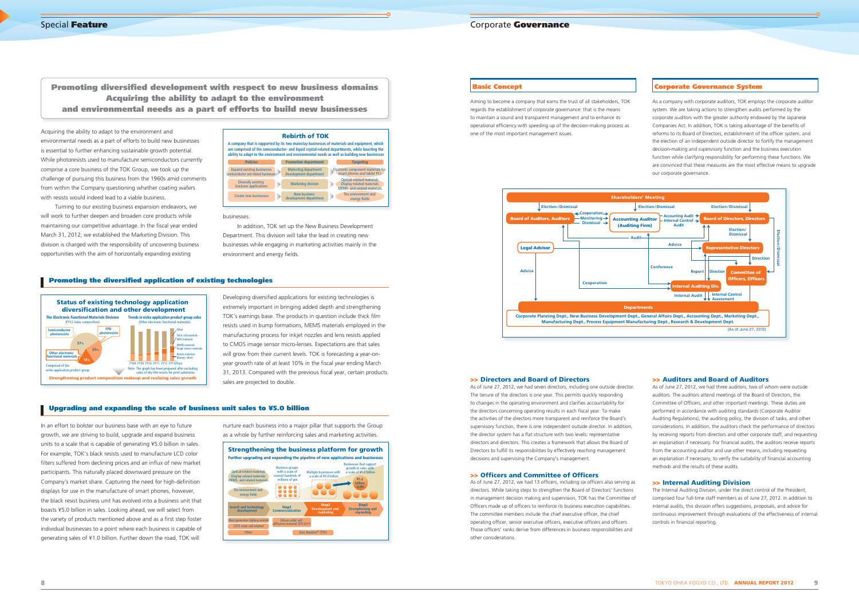Acquiring the ability to adapt to the environment and environmental needs as a part of efforts to build new businesses is essential to further enhancing sustainable growth potential. While photoresists used to manufacture semiconductors currently comprise a core business of the TOK Group, we took up the challenge of pursuing this business from the 1960s amid comments from within the Company questioning whether coating wafers with resists would indeed lead to a viable business.

Turning to our existing business expansion endeavors, we will work to further deepen and broaden core products while maintaining our competitive advantage. In the fiscal year ended March 31, 2012, we established the Marketing Division. This division is charged with the responsibility of uncovering business opportunities with the aim of horizontally expanding existing

> Developing diversified applications for existing technologies is extremely important in bringing added depth and strengthening TOK's earnings base. The products in question include thick film resists used in bump formations, MEMS materials employed in the manufacturing process for inkjet nozzles and lens resists applied to CMOS image sensor micro-lenses. Expectations are that sales will grow from their current levels. TOK is forecasting a year-onyear growth rate of at least 10% in the fiscal year ending March 31, 2013. Compared with the previous fiscal year, certain products sales are projected to double.

In addition, TOK set up the New Business Development Department. This division will take the lead in creating new businesses while engaging in marketing activities mainly in the environment and energy fields.

# **Promoting the diversified application of existing technologies**

In an effort to bolster our business base with an eye to future growth, we are striving to build, upgrade and expand business units to a scale that is capable of generating ¥5.0 billion in sales. For example, TOK's black resists used to manufacture LCD color filters suffered from declining prices and an influx of new market participants. This naturally placed downward pressure on the Company's market share. Capturing the need for high-definition displays for use in the manufacture of smart phones, however, the black resist business unit has evolved into a business unit that boasts ¥5.0 billion in sales. Looking ahead, we will select from the variety of products mentioned above and as a first step foster individual businesses to a point where each business is capable of generating sales of ¥1.0 billion. Further down the road, TOK will

# businesses.

**Promoting diversified development with respect to new business domains Acquiring the ability to adapt to the environment and environmental needs as a part of efforts to build new businesses**

> nurture each business into a major pillar that supports the Group as a whole by further reinforcing sales and marketing activities.

# **Upgrading and expanding the scale of business unit sales to ¥5.0 billion**

As of June 27, 2012, we had seven directors, including one outside director. The tenure of the directors is one year. This permits quickly responding to changes in the operating environment and clarifies accountability for the directors concerning operating results in each fiscal year. To make the activities of the directors more transparent and reinforce the Board's supervisory function, there is one independent outside director. In addition, the director system has a flat structure with two levels: representative directors and directors. This creates a framework that allows the Board of Directors to fulfill its responsibilities by effectively reaching management decisions and supervising the Company's management.

# **>> Officers and Committee of Officers**



As of June 27, 2012, we had 13 officers, including six officers also serving as directors. While taking steps to strengthen the Board of Directors' functions in management decision making and supervision, TOK has the Committee of Officers made up of officers to reinforce its business execution capabilities. The committee members include the chief executive officer, the chief operating officer, senior executive officers, executive officers and officers. Those officers' ranks derive from differences in business responsibilities and other considerations.



As of June 27, 2012, we had three auditors, two of whom were outside auditors. The auditors attend meetings of the Board of Directors, the Committee of Officers, and other important meetings. These duties are performed in accordance with auditing standards (Corporate Auditor Auditing Regulations), the auditing policy, the division of tasks, and other considerations. In addition, the auditors check the performance of directors by receiving reports from directors and other corporate staff, and requesting an explanation if necessary. For financial audits, the auditors receive reports from the accounting auditor and use other means, including requesting an explanation if necessary, to verify the suitability of financial accounting methods and the results of these audits.

The Internal Auditing Division, under the direct control of the President, comprised four full-time staff members as of June 27, 2012. In addition to internal audits, this division offers suggestions, proposals, and advice for continuous improvement through evaluations of the effectiveness of internal controls in financial reporting.



Aiming to become a company that earns the trust of all stakeholders, TOK regards the establishment of corporate governance: that is the means to maintain a sound and transparent management and to enhance its operational efficiency with speeding up of the decision-making process as one of the most important management issues.

# **>> Directors and Board of Directors**

As a company with corporate auditors, TOK employs the corporate auditor system. We are taking actions to strengthen audits performed by the corporate auditors with the greater authority endowed by the Japanese Companies Act. In addition, TOK is taking advantage of the benefits of reforms to its Board of Directors, establishment of the officer system, and the election of an independent outside director to fortify the management decision-making and supervisory function and the business execution function while clarifying responsibility for performing these functions. We are convinced that these measures are the most effective means to upgrade our corporate governance.

# **Basic Concept Corporate Governance System**



### **>> Auditors and Board of Auditors**

# **>> Internal Auditing Division**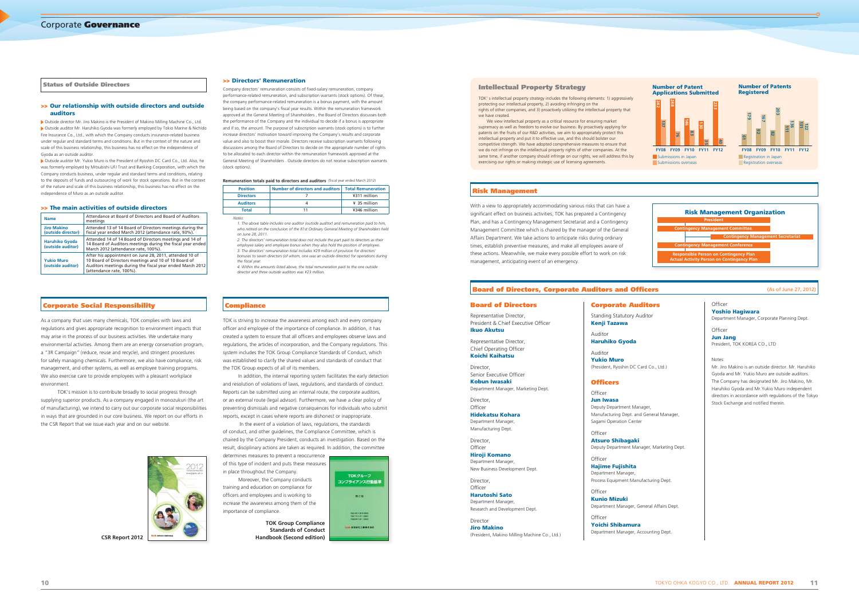As a company that uses many chemicals, TOK complies with laws and regulations and gives appropriate recognition to environment impacts that may arise in the process of our business activities. We undertake many environmental activities. Among them are an energy conservation program, a "3R Campaign" (reduce, reuse and recycle), and stringent procedures for safely managing chemicals. Furthermore, we also have compliance, risk management, and other systems, as well as employee training programs. We also exercise care to provide employees with a pleasant workplace environment.

 TOK's mission is to contribute broadly to social progress through supplying superior products. As a company engaged in monozukuri (the art of manufacturing), we intend to carry out our corporate social responsibilities in ways that are grounded in our core business. We report on our efforts in the CSR Report that we issue each year and on our website.



TOK is striving to increase the awareness among each and every company officer and employee of the importance of compliance. In addition, it has created a system to ensure that all officers and employees observe laws and regulations, the articles of incorporation, and the Company regulations. This system includes the TOK Group Compliance Standards of Conduct, which was established to clarify the shared values and standards of conduct that the TOK Group expects of all of its members.

In addition, the internal reporting system facilitates the early detection and resolution of violations of laws, regulations, and standards of conduct. Reports can be submitted using an internal route, the corporate auditors, or an external route (legal advisor). Furthermore, we have a clear policy of preventing dismissals and negative consequences for individuals who submit reports, except in cases where reports are dishonest or inappropriate.

> **Director** Officer **Hiroji Komano**

**Director** Officer **Harutoshi Sato** Department Manager, Standing Statutory Audito **Kenji Tazawa**

> Auditor **Yukio Muro** (President, Ryoshin DC Card

# **Officers**

Officer

Officer

Officer **Jun Iwasa** Deputy Department Manager, Manufacturing Dept. and Gene Sagami Operation Center

**Atsuro Shibagaki** Deputy Department Manager

Officer **Hajime Fujishita** Department Manager Process Equipment Manufact

Officer **Kunio Mizuki** Department Manager, General

**Yoichi Shibamura** Department Manager, Accou

 In the event of a violation of laws, regulations, the standards of conduct, and other guidelines, the Compliance Committee, which is chaired by the Company President, conducts an investigation. Based on the result, disciplinary actions are taken as required. In addition, the committee determines measures to prevent a reoccurrence

of this type of incident and puts these measures in place throughout the Company.

Moreover, the Company conducts training and education on compliance for officers and employees and is working to increase the awareness among them of the importance of compliance.

With a view to appropriately accommodating various risks that can have a significant effect on business activities, TOK has prepared a Contingency Plan, and has a Contingency Management Secretariat and a Contingency Management Committee which is chaired by the manager of the General Affairs Department. We take actions to anticipate risks during ordinary times, establish preventive measures, and make all employees aware of these actions. Meanwhile, we make every possible effort to work on risk management, anticipating event of an emergency.

# **Board of Directors, Corporate Auditors and Office**

# **Board of Directors**

Representative Director, President & Chief Executive Officer **Ikuo Akutsu**

Representative Director, Chief Operating Officer **Koichi Kaihatsu**

Director, Senior Executive Officer **Kobun Iwasaki** Department Manager, Marketing Dept.

Director, Officer **Hidekatsu Kohara** Department Manager, Manufacturing Dept.

Department Manager, New Business Development Dept.

Research and Development Dept.

Director **Jiro Makino** (President, Makino Milling Machine Co., Ltd.)

# **Corporate Auditors**

Auditor **Haruhiko Gyoda**

Status of Outside Directors **Exercity Strategy** Company directors' remuneration consists of fixed-salary remuneration, company **intellectual Property Strategy** performance-related remuneration, and subscription warrants (stock options). Of these the company performance-related remuneration is a bonus payment, with the amount being based on the company's fiscal year results. Within the remuneration framework approved at the General Meeting of Shareholders , the Board of Directors discusses both the performance of the Company and the individual to decide if a bonus is appropriate and if so, the amount. The purpose of subscription warrants (stock options) is to further increase directors' motivation toward improving the Company's results and corporate value and also to boost their morale. Directors receive subscription warrants following discussions among the Board of Directors to decide on the appropriate number of rights to be allocated to each director within the remuneration framework approved at the General Meeting of Shareholders . Outside directors do not receive subscription warrants (stock options).

# **Remuneration totals paid to directors and auditors** (fiscal year ended March 2012)

| ers                  | (As of June 27, 2012)                                                                                                                                                                                                                                                         |
|----------------------|-------------------------------------------------------------------------------------------------------------------------------------------------------------------------------------------------------------------------------------------------------------------------------|
| ors<br>or            | Officer<br><b>Yoshio Hagiwara</b><br>Department Manager, Corporate Planning Dept.                                                                                                                                                                                             |
|                      | Officer<br><b>Jun Jang</b><br>President, TOK KOREA CO., LTD                                                                                                                                                                                                                   |
| Co., Ltd.)           | Notes:<br>Mr. Jiro Makino is an outside director. Mr. Haruhiko<br>Gyoda and Mr. Yukio Muro are outside auditors.<br>The Company has designated Mr. Jiro Makino, Mr.<br>Haruhiko Gyoda and Mr. Yukio Muro independent<br>directors in accordance with regulations of the Tokyo |
| r,<br>neral Manager, | Stock Exchange and notified therein.                                                                                                                                                                                                                                          |
| r, Marketing Dept.   |                                                                                                                                                                                                                                                                               |
| turing Dept.         |                                                                                                                                                                                                                                                                               |
| ral Affairs Dept.    |                                                                                                                                                                                                                                                                               |
| inting Dept.         |                                                                                                                                                                                                                                                                               |

*2. The directors' remuneration total does not include the part paid to directors as their employee salary and employee bonus when they also hold the position of employee. 3. The directors' remuneration total includes ¥29 million of provision for directors' bonuses to seven directors (of whom, one was an outside director) for operations during*  the fiscal year.

# **Risk Management**

**CSR Report 2012**

**TOK Group Compliance Standards of Conduct Handbook (Second edition)**



# **>> Our relationship with outside directors and outside auditors**

Outside director Mr. Jiro Makino is the President of Makino Milling Machine Co., Ltd. Outside auditor Mr. Haruhiko Gyoda was formerly employed by Tokio Marine & Nichido Fire Insurance Co., Ltd., with which the Company conducts insurance-related business under regular and standard terms and conditions. But in the context of the nature and scale of this business relationship, this business has no effect on the independence of Gyoda as an outside auditor.

Outside auditor Mr. Yukio Muro is the President of Ryoshin DC Card Co., Ltd. Also, he was formerly employed by Mitsubishi UFJ Trust and Banking Corporation, with which the Company conducts business, under regular and standard terms and conditions, relating to the deposits of funds and outsourcing of work for stock operations. But in the context of the nature and scale of this business relationship, this business has no effect on the independence of Muro as an outside auditor.

### **>> The main activities of outside directors**

| <b>Name</b>                                | Attendance at Board of Directors and Board of Auditors<br>meetings                                                                                                                                      |
|--------------------------------------------|---------------------------------------------------------------------------------------------------------------------------------------------------------------------------------------------------------|
| <b>Jiro Makino</b><br>(outside director)   | Attended 13 of 14 Board of Directors meetings during the<br>fiscal year ended March 2012 (attendance rate, 93%).                                                                                        |
| <b>Haruhiko Gyoda</b><br>(outside auditor) | Attended 14 of 14 Board of Directors meetings and 14 of<br>14 Board of Auditors meetings during the fiscal year ended<br>March 2012 (attendance rate, 100%).                                            |
| <b>Yukio Muro</b><br>(outside auditor)     | After his appointment on June 28, 2011, attended 10 of<br>10 Board of Directors meetings and 10 of 10 Board of<br>Auditors meetings during the fiscal year ended March 2012<br>(attendance rate, 100%). |

# **Corporate Social Responsibility and Compliance**

TOK' s intellectual property strategy includes the following elements: 1) aggressively protecting our intellectual property, 2) avoiding infringing on the rights of other companies, and 3) proactively utilizing the intellectual property that we have created.

We view intellectual property as a critical resource for ensuring market supremacy as well as freedom to evolve our business. By proactively applying for patents on the fruits of our R&D activities, we aim to appropriately protect this intellectual property and put it to effective use, and this should bolster our competitive strength. We have adopted comprehensive measures to ensure that we do not infringe on the intellectual property rights of other companies. At the same time, if another company should infringe on our rights, we will address this by exercising our rights or making strategic use of licensing agreements.

# **>> Directors' Remuneration**

| <b>Position</b>  | Number of directors and auditors   Total Remuneration |              |
|------------------|-------------------------------------------------------|--------------|
| <b>Directors</b> |                                                       | ¥311 million |
| <b>Auditors</b>  |                                                       | ¥ 35 million |
| <b>Total</b>     |                                                       | ¥346 million |

*Notes:*

*1. The above table includes one auditor (outside auditor) and remuneration paid to him, who retired on the conclusion of the 81st Ordinary General Meeting of Shareholders held on June 28, 2011.* 

*4. Within the amounts listed above, the total remuneration paid to the one outside director and three outside auditors was ¥23 million.* 

| <b>Risk Management Organization</b>                                                                |  |
|----------------------------------------------------------------------------------------------------|--|
| <b>President</b>                                                                                   |  |
| <b>Contingency Management Committee</b>                                                            |  |
| <b>Contingency Management Secretariat</b>                                                          |  |
| <b>Contingency Management Conference</b>                                                           |  |
| <b>Responsible Person on Contingency Plan</b><br><b>Actual Activity Person on Contingency Plan</b> |  |

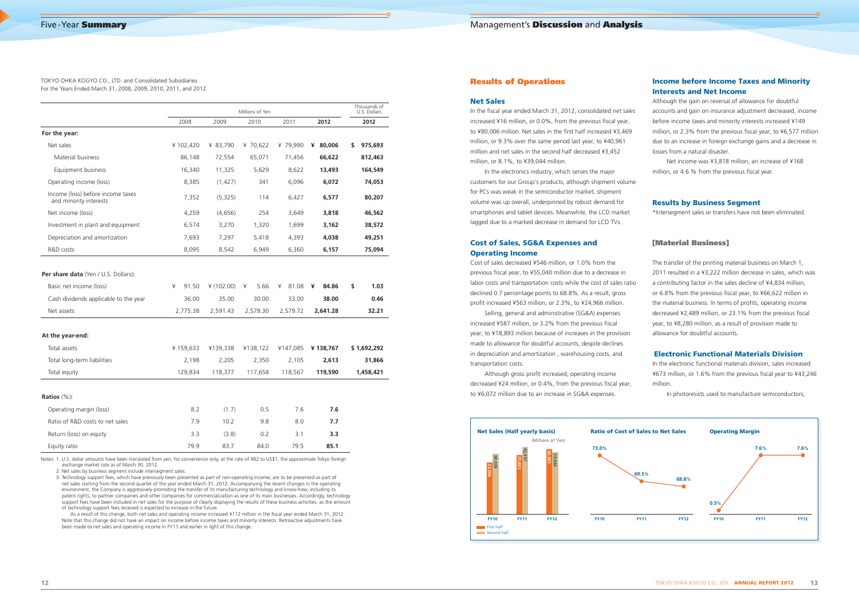# **Results of Operations**

# **Net Sales**

In the fiscal year ended March 31, 2012, consolidated net sales increased ¥16 million, or 0.0%, from the previous fiscal year, to ¥80,006 million. Net sales in the first half increased ¥3,469 million, or 9.3% over the same period last year, to ¥40,961 million and net sales in the second half decreased ¥3,452 million, or 8.1%, to ¥39,044 million.

Cost of sales decreased ¥546 million, or 1.0% from the previous fiscal year, to ¥55,040 million due to a decrease in labor costs and transportation costs while the cost of sales ratio declined 0.7 percentage points to 68.8%. As a result, gross profit increased ¥563 million, or 2.3%, to ¥24,966 million.

In the electronics industry, which serves the major customers for our Group's products, although shipment volume for PCs was weak in the semiconductor market, shipment volume was up overall, underpinned by robust demand for smartphones and tablet devices. Meanwhile, the LCD market lagged due to a marked decrease in demand for LCD TVs.

Although gross profit increased, operating income decreased ¥24 million, or 0.4%, from the previous fiscal year, to ¥6,072 million due to an increase in SG&A expenses.

# **Cost of Sales, SG&A Expenses and Operating Income**

Net income was ¥3,818 million, an increase of ¥168 million, or 4.6 % from the previous fiscal year.

Selling, general and administrative (SG&A) expenses increased ¥587 million, or 3.2% from the previous fiscal year, to ¥18,893 million because of increases in the provision made to allowance for doubtful accounts, despite declines in depreciation and amortization , warehousing costs, and transportation costs.

# **Income before Income Taxes and Minority Interests and Net Income**

Although the gain on reversal of allowance for doubtful accounts and gain on insurance adjustment decreased, income before income taxes and minority interests increased ¥149 million, or 2.3% from the previous fiscal year, to  $46,577$  million due to an increase in foreign exchange gains and a decrease in losses from a natural disaster.

# **Results by Business Segment**

\*Intersegment sales or transfers have not been eliminated.

# **[Material Business]**

The transfer of the printing material business on March 1, 2011 resulted in a ¥3,222 million decrease in sales, which was a contributing factor in the sales decline of ¥4,834 million, or 6.8% from the previous fiscal year, to ¥66,622 million in the material business. In terms of profits, operating income decreased ¥2,489 million, or 23.1% from the previous fiscal year, to ¥8,280 million, as a result of provision made to allowance for doubtful accounts.

# **Electronic Functional Materials Division**

In the electronic functional materials division, sales increased ¥673 million, or 1.6% from the previous fiscal year to ¥43,246 million.

In photoresists used to manufacture semiconductors,

As a result of this change, both net sales and operating income increased ¥112 million in the fiscal year ended March 31, 2012. Note that this change did not have an impact on income before income taxes and minority interests. Retroactive adjustments have been made to net sales and operating income in FY11 and earlier in light of this change.



TOKYO OHKA KOGYO CO., LTD. and Consolidated Subsidiaries For the Years Ended March 31, 2008, 2009, 2010, 2011, and 2012

|                                                                                                                        |                                 |                                | Millions of Yen                |                                 |                                 | Thousands of<br>U.S. Dollars |
|------------------------------------------------------------------------------------------------------------------------|---------------------------------|--------------------------------|--------------------------------|---------------------------------|---------------------------------|------------------------------|
|                                                                                                                        | 2008                            | 2009                           | 2010                           | 2011                            | 2012                            | 2012                         |
| For the year:                                                                                                          |                                 |                                |                                |                                 |                                 |                              |
| Net sales                                                                                                              | ¥102,420                        | ¥ 83,790                       | ¥ 70,622                       | ¥ 79,990                        | ¥ 80,006                        | \$<br>975,693                |
| Material business                                                                                                      | 86.148                          | 72,554                         | 65,071                         | 71,456                          | 66,622                          | 812,463                      |
| Equipment business                                                                                                     | 16,340                          | 11,325                         | 5,629                          | 8,622                           | 13,493                          | 164,549                      |
| Operating income (loss)                                                                                                | 8,385                           | (1, 427)                       | 341                            | 6,096                           | 6,072                           | 74,053                       |
| Income (loss) before income taxes<br>and minority interests                                                            | 7,352                           | (5,325)                        | 114                            | 6,427                           | 6,577                           | 80,207                       |
| Net income (loss)                                                                                                      | 4,259                           | (4,656)                        | 254                            | 3,649                           | 3,818                           | 46,562                       |
| Investment in plant and equipment                                                                                      | 6,574                           | 3,270                          | 1,320                          | 1,699                           | 3,162                           | 38,572                       |
| Depreciation and amortization                                                                                          | 7,693                           | 7,297                          | 5,418                          | 4,393                           | 4,038                           | 49,251                       |
| R&D costs                                                                                                              | 8,095                           | 8,542                          | 6,949                          | 6,360                           | 6,157                           | 75,094                       |
| Per share data (Yen / U.S. Dollars):<br>Basic net income (loss)<br>Cash dividends applicable to the year<br>Net assets | ¥<br>91.50<br>36.00<br>2,775.38 | 4(102.00)<br>35.00<br>2,591.43 | 5.66<br>¥<br>30.00<br>2,578.30 | 81.08<br>¥<br>33.00<br>2,579.72 | ¥<br>84.86<br>38.00<br>2,641.28 | \$<br>1.03<br>0.46<br>32.21  |
| At the year-end:                                                                                                       |                                 |                                |                                |                                 |                                 |                              |
| Total assets                                                                                                           | ¥159,633                        | ¥139,338                       | ¥138,122                       | ¥147,085                        | ¥138,767                        | \$1,692,292                  |
| Total long-term liabilities                                                                                            | 2,198                           | 2,205                          | 2,350                          | 2,105                           | 2,613                           | 31,866                       |
| Total equity                                                                                                           | 129,834                         | 118,377                        | 117,658                        | 118,567                         | 119,590                         | 1,458,421                    |
| Ratios $(\%):$                                                                                                         |                                 |                                |                                |                                 |                                 |                              |
| Operating margin (loss)                                                                                                | 8.2                             | (1.7)                          | 0.5                            | 7.6                             | 7.6                             |                              |
| Ratio of R&D costs to net sales                                                                                        | 7.9                             | 10.2                           | 9.8                            | 8.0                             | 7.7                             |                              |
| Return (loss) on equity                                                                                                | 3.3                             | (3.8)                          | 0.2                            | 3.1                             | 3.3                             |                              |
| Equity ratio                                                                                                           | 79.9                            | 83.7                           | 84.0                           | 79.5                            | 85.1                            |                              |

Notes: 1. U.S. dollar amounts have been translated from yen, for convenience only, at the rate of ¥82 to US\$1, the approximate Tokyo foreign exchange market rate as of March 30, 2012.

2. Net sales by business segment include intersegment sales.

3. Technology support fees, which have previously been presented as part of non-operating income, are to be presented as part of net sales starting from the second quarter of the year ended March 31, 2012. Accompanying the recent changes in the operating environment, the Company is aggressively promoting the transfer of its manufacturing technology and know-how, including its patent rights, to partner companies and other companies for commercialization as one of its main businesses. Accordingly, technology support fees have been included in net sales for the purpose of clearly displaying the results of these business activities, as the amount of technology support fees received is expected to increase in the future.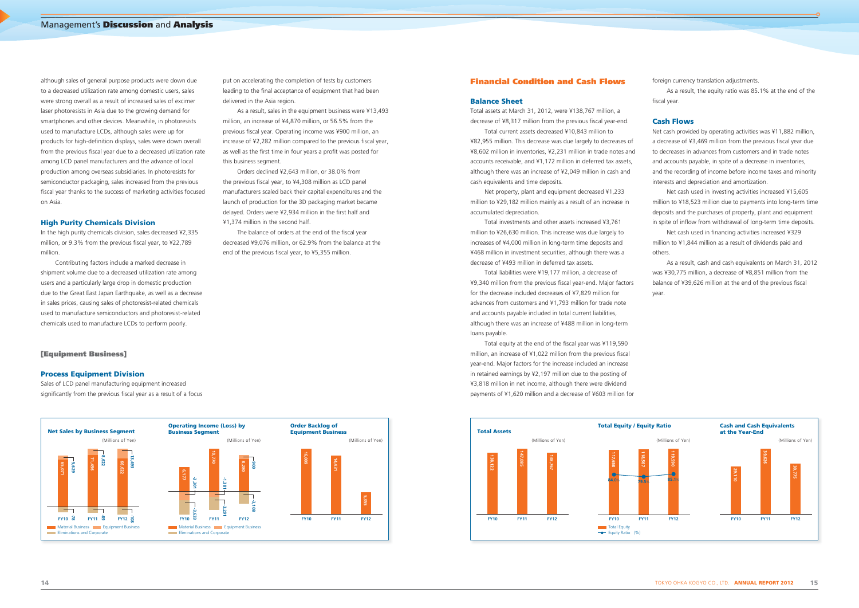# **14** TOKYO OHKA KOGYO CO., LTD. **ANNUAL REPORT 2012 15**

although sales of general purpose products were down due to a decreased utilization rate among domestic users, sales were strong overall as a result of increased sales of excimer laser photoresists in Asia due to the growing demand for smartphones and other devices. Meanwhile, in photoresists used to manufacture LCDs, although sales were up for products for high-definition displays, sales were down overall from the previous fiscal year due to a decreased utilization rate among LCD panel manufacturers and the advance of local production among overseas subsidiaries. In photoresists for semiconductor packaging, sales increased from the previous fiscal year thanks to the success of marketing activities focused on Asia.

Sales of LCD panel manufacturing equipment increased significantly from the previous fiscal year as a result of a focus

# **High Purity Chemicals Division**

In the high purity chemicals division, sales decreased ¥2,335 million, or 9.3% from the previous fiscal year, to ¥22,789 million.

Contributing factors include a marked decrease in shipment volume due to a decreased utilization rate among users and a particularly large drop in domestic production due to the Great East Japan Earthquake, as well as a decrease in sales prices, causing sales of photoresist-related chemicals used to manufacture semiconductors and photoresist-related chemicals used to manufacture LCDs to perform poorly.

Total assets at March 31, 2012, were ¥138,767 million, a decrease of ¥8,317 million from the previous fiscal year-end.

**[Equipment Business]**

# **Process Equipment Division**

put on accelerating the completion of tests by customers leading to the final acceptance of equipment that had been delivered in the Asia region.

As a result, sales in the equipment business were ¥13,493 million, an increase of ¥4,870 million, or 56.5% from the previous fiscal year. Operating income was ¥900 million, an increase of ¥2,282 million compared to the previous fiscal year, as well as the first time in four years a profit was posted for this business segment.

> Total equity at the end of the fiscal year was ¥119,590 million, an increase of ¥1,022 million from the previous fiscal year-end. Major factors for the increase included an increase in retained earnings by ¥2,197 million due to the posting of ¥3,818 million in net income, although there were dividend payments of ¥1,620 million and a decrease of ¥603 million for

As a result, the equity ratio was 85.1% at the end of the fiscal year.

Orders declined ¥2,643 million, or 38.0% from the previous fiscal year, to ¥4,308 million as LCD panel manufacturers scaled back their capital expenditures and the launch of production for the 3D packaging market became delayed. Orders were ¥2,934 million in the first half and ¥1,374 million in the second half.

The balance of orders at the end of the fiscal year decreased ¥9,076 million, or 62.9% from the balance at the end of the previous fiscal year, to ¥5,355 million.

Net cash used in investing activities increased ¥15,605 million to ¥18,523 million due to payments into long-term time deposits and the purchases of property, plant and equipment in spite of inflow from withdrawal of long-term time deposits.

Net cash used in financing activities increased ¥329 million to ¥1,844 million as a result of dividends paid and others.

# **Financial Condition and Cash Flows**

# **Balance Sheet**

 $FY10 \times 12$  **FY11**  $\frac{1}{20}$  **FY12 Net Sales by Business Segment Operating Income (Loss) by Business Segment Material Business Communist Provisions Eliminations and Corporate** Equipment Business **Material Business Communist Public Properties** Communist Public Properties ions and Corporations (Millions of Yen) (Millions of Yen) **65,071 71,456 5,629 66,622 8,622 13,493**  $-540$  $-Y12 \quad \frac{1}{92}$ **FX**<br> **FRICAL FRICAL FRICAL FRICAL FRICAL FORTS**<br> **10,770**<br> **10,770 10,770**<br> **10,770 10,770 -2,2011 900 FY10**  $\overline{\omega}$ **-3,291 -3,108 Order Backlog of Equipment Business** (Millions of Yen) **FY10 FY11 FY12 16,009 14,431 5,355**

Total current assets decreased ¥10,843 million to ¥82,955 million. This decrease was due largely to decreases of ¥8,602 million in inventories, ¥2,231 million in trade notes and accounts receivable, and ¥1,172 million in deferred tax assets, although there was an increase of ¥2,049 million in cash and cash equivalents and time deposits.

Net property, plant and equipment decreased ¥1,233 million to ¥29,182 million mainly as a result of an increase in accumulated depreciation.

Total investments and other assets increased ¥3,761 million to ¥26,630 million. This increase was due largely to increases of ¥4,000 million in long-term time deposits and ¥468 million in investment securities, although there was a decrease of ¥493 million in deferred tax assets.

Total liabilities were ¥19,177 million, a decrease of ¥9,340 million from the previous fiscal year-end. Major factors for the decrease included decreases of ¥7,829 million for advances from customers and ¥1,793 million for trade note and accounts payable included in total current liabilities, although there was an increase of ¥488 million in long-term loans payable.

foreign currency translation adjustments.

# **Cash Flows**

Net cash provided by operating activities was ¥11,882 million, a decrease of ¥3,469 million from the previous fiscal year due to decreases in advances from customers and in trade notes and accounts payable, in spite of a decrease in inventories, and the recording of income before income taxes and minority interests and depreciation and amortization.

As a result, cash and cash equivalents on March 31, 2012 was ¥30,775 million, a decrease of ¥8,851 million from the balance of ¥39,626 million at the end of the previous fiscal year.

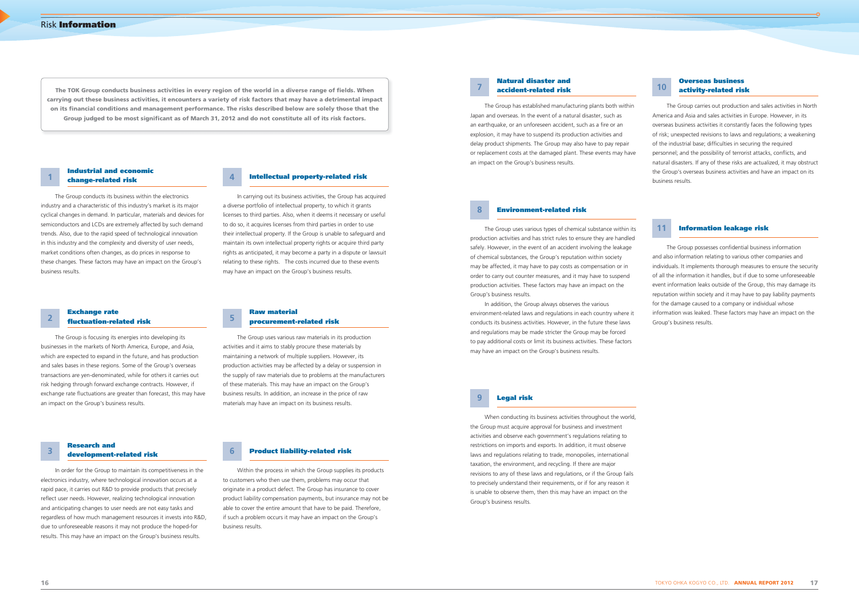The TOK Group conducts business activities in every region of the world in a diverse range of fields. When **carrying out these business activities, it encounters a variety of risk factors that may have a detrimental impact on its fi nancial conditions and management performance. The risks described below are solely those that the**  Group judged to be most significant as of March 31, 2012 and do not constitute all of its risk factors.

The Group conducts its business within the electronics industry and a characteristic of this industry's market is its major cyclical changes in demand. In particular, materials and devices for semiconductors and LCDs are extremely affected by such demand trends. Also, due to the rapid speed of technological innovation in this industry and the complexity and diversity of user needs, market conditions often changes, as do prices in response to these changes. These factors may have an impact on the Group's business results.

# **Industrial and economic change-related risk 1**

In carrying out its business activities, the Group has acquired a diverse portfolio of intellectual property, to which it grants licenses to third parties. Also, when it deems it necessary or useful to do so, it acquires licenses from third parties in order to use their intellectual property. If the Group is unable to safeguard and maintain its own intellectual property rights or acquire third party rights as anticipated, it may become a party in a dispute or lawsuit relating to these rights. The costs incurred due to these events may have an impact on the Group's business results.

# **4 Intellectual property-related risk**

The Group has established manufacturing plants both within Japan and overseas. In the event of a natural disaster, such as an earthquake, or an unforeseen accident, such as a fire or an explosion, it may have to suspend its production activities and delay product shipments. The Group may also have to pay repair or replacement costs at the damaged plant. These events may have an impact on the Group's business results.

# **Natural disaster and accident-related risk 7**

The Group carries out production and sales activities in North America and Asia and sales activities in Europe. However, in its overseas business activities it constantly faces the following types of risk; unexpected revisions to laws and regulations; a weakening of the industrial base; difficulties in securing the required personnel; and the possibility of terrorist attacks, conflicts, and natural disasters. If any of these risks are actualized, it may obstruct the Group's overseas business activities and have an impact on its business results.

# **Overseas business activity-related risk 10**

The Group possesses confidential business information and also information relating to various other companies and individuals. It implements thorough measures to ensure the security of all the information it handles, but if due to some unforeseeable event information leaks outside of the Group, this may damage its reputation within society and it may have to pay liability payments for the damage caused to a company or individual whose information was leaked. These factors may have an impact on the Group's business results.

The Group is focusing its energies into developing its businesses in the markets of North America, Europe, and Asia, which are expected to expand in the future, and has production and sales bases in these regions. Some of the Group's overseas transactions are yen-denominated, while for others it carries out risk hedging through forward exchange contracts. However, if exchange rate fluctuations are greater than forecast, this may have an impact on the Group's business results.

# **Exchange rate fl uctuation-related risk 2**

The Group uses various raw materials in its production activities and it aims to stably procure these materials by maintaining a network of multiple suppliers. However, its production activities may be affected by a delay or suspension in the supply of raw materials due to problems at the manufacturers of these materials. This may have an impact on the Group's business results. In addition, an increase in the price of raw materials may have an impact on its business results.

# **Raw material procurement-related risk 5**

The Group uses various types of chemical substance within its production activities and has strict rules to ensure they are handled safely. However, in the event of an accident involving the leakage of chemical substances, the Group's reputation within society may be affected, it may have to pay costs as compensation or in order to carry out counter measures, and it may have to suspend production activities. These factors may have an impact on the Group's business results.

In addition, the Group always observes the various environment-related laws and regulations in each country where it conducts its business activities. However, in the future these laws and regulations may be made stricter the Group may be forced to pay additional costs or limit its business activities. These factors may have an impact on the Group's business results.

# **8 Environment-related risk**

# **11 Information leakage risk**

In order for the Group to maintain its competitiveness in the electronics industry, where technological innovation occurs at a rapid pace, it carries out R&D to provide products that precisely reflect user needs. However, realizing technological innovation and anticipating changes to user needs are not easy tasks and regardless of how much management resources it invests into R&D, due to unforeseeable reasons it may not produce the hoped-for results. This may have an impact on the Group's business results.

# **Research and development-related risk 3**

Within the process in which the Group supplies its products to customers who then use them, problems may occur that originate in a product defect. The Group has insurance to cover product liability compensation payments, but insurance may not be able to cover the entire amount that have to be paid. Therefore, if such a problem occurs it may have an impact on the Group's business results.

# **6 Product liability-related risk**

When conducting its business activities throughout the world, the Group must acquire approval for business and investment activities and observe each government's regulations relating to restrictions on imports and exports. In addition, it must observe laws and regulations relating to trade, monopolies, international taxation, the environment, and recycling. If there are major revisions to any of these laws and regulations, or if the Group fails to precisely understand their requirements, or if for any reason it is unable to observe them, then this may have an impact on the Group's business results.

# **9 Legal risk**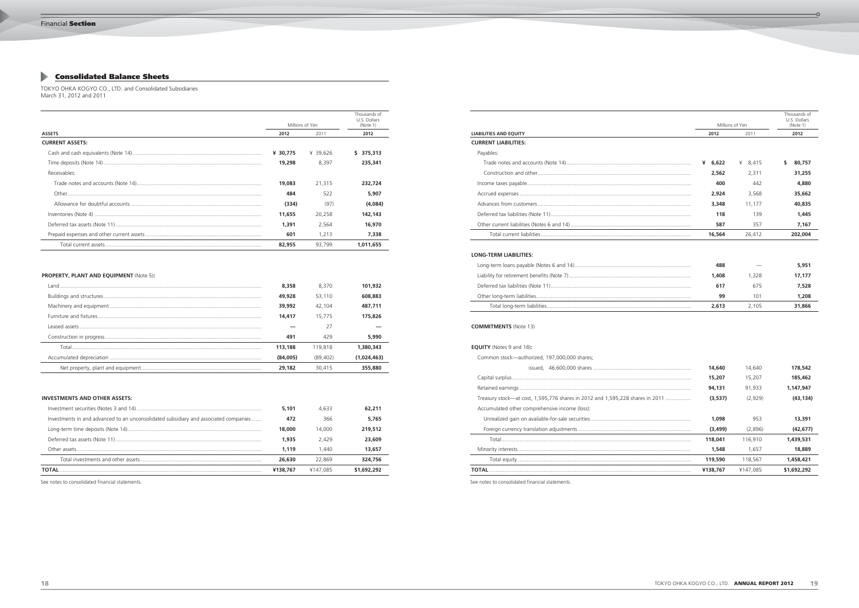$\overline{\bullet}$ 

# **Consolidated Balance Sheets**

# TOKYO OHKA KOGYO CO., LTD. and Consolidated Subsidiaries March 31, 2012 and 2011

|                        |                 |          | Thousands of<br>U.S. Dollars |  |
|------------------------|-----------------|----------|------------------------------|--|
|                        | Millions of Yen |          | (Note 1)                     |  |
| <b>ASSETS</b>          | 2012            | 2011     | 2012                         |  |
| <b>CURRENT ASSETS:</b> |                 |          |                              |  |
|                        | ¥ 30,775        | ¥ 39.626 | 375,313<br>S.                |  |
|                        | 19,298          | 8.397    | 235,341                      |  |
| Receivables:           |                 |          |                              |  |
|                        | 19,083          | 21,315   | 232,724                      |  |
|                        | 484             | 522      | 5,907                        |  |
|                        | (334)           | (97)     | (4,084)                      |  |
|                        | 11,655          | 20,258   | 142,143                      |  |
|                        | 1,391           | 2.564    | 16,970                       |  |
|                        | 601             | 1.213    | 7.338                        |  |
|                        | 82,955          | 93.799   | 1.011.655                    |  |

# **PROPERTY, PLANT AND EQUIPMENT** (Note 5)**:**

| 8,358    | 8.370     | 101,932     |
|----------|-----------|-------------|
| 49,928   | 53,110    | 608,883     |
| 39,992   | 42.104    | 487.711     |
| 14,417   | 15,775    | 175,826     |
|          | 27        |             |
| 491      | 429       | 5,990       |
| 113,188  | 119,818   | 1,380,343   |
| (84,005) | (89, 402) | (1,024,463) |
| 29,182   | 30,415    | 355,880     |
|          |           |             |

# **INVESTMENTS AND OTHER ASSETS:**

|                                                                                      | 5,101    | 4.633    | 62,211      |
|--------------------------------------------------------------------------------------|----------|----------|-------------|
| Investments in and advanced to an unconsolidated subsidiary and associated companies | 472      | 366      | 5,765       |
|                                                                                      | 18,000   | 14.000   | 219,512     |
|                                                                                      | 1.935    | 2.429    | 23,609      |
|                                                                                      | 1.119    | 1.440    | 13,657      |
|                                                                                      | 26,630   | 22.869   | 324,756     |
| TOTAL                                                                                | ¥138.767 | ¥147.085 | \$1,692,292 |

See notes to consolidated financial statements.

| <b>BILITIES AND EQUITY</b> |
|----------------------------|
| <b>RRENT LIABILITIES:</b>  |
| Payables:                  |
|                            |
|                            |
|                            |
|                            |
|                            |
|                            |
|                            |
|                            |
|                            |

| Millions of Yen                                                               |            | Thousands of<br>U.S. Dollars<br>(Note 1) |              |
|-------------------------------------------------------------------------------|------------|------------------------------------------|--------------|
| <b>LIABILITIES AND EQUITY</b>                                                 | 2012       | 2011                                     | 2012         |
| <b>CURRENT LIABILITIES:</b>                                                   |            |                                          |              |
| Payables:                                                                     |            |                                          |              |
|                                                                               | 6,622<br>¥ | ¥ $8,415$                                | \$<br>80,757 |
|                                                                               | 2,562      | 2,311                                    | 31,255       |
|                                                                               | 400        | 442                                      | 4,880        |
|                                                                               | 2,924      | 3,568                                    | 35,662       |
|                                                                               | 3,348      | 11,177                                   | 40,835       |
|                                                                               | 118        | 139                                      | 1,445        |
|                                                                               | 587        | 357                                      | 7,167        |
|                                                                               | 16,564     | 26,412                                   | 202,004      |
| <b>LONG-TERM LIABILITIES:</b>                                                 |            |                                          |              |
|                                                                               | 488        |                                          | 5,951        |
|                                                                               | 1,408      | 1,328                                    | 17,177       |
|                                                                               | 617        | 675                                      | 7,528        |
|                                                                               | 99         | 101                                      | 1,208        |
|                                                                               | 2,613      | 2,105                                    | 31,866       |
| <b>COMMITMENTS (Note 13)</b><br><b>EQUITY</b> (Notes 9 and 18):               |            |                                          |              |
| Common stock-authorized, 197,000,000 shares;                                  |            |                                          |              |
|                                                                               | 14,640     | 14,640                                   | 178,542      |
|                                                                               | 15,207     | 15,207                                   | 185,462      |
|                                                                               | 94,131     | 91,933                                   | 1,147,947    |
| Treasury stock—at cost, 1,595,776 shares in 2012 and 1,595,228 shares in 2011 | (3,537)    | (2,929)                                  | (43, 134)    |
| Accumulated other comprehensive income (loss):                                |            |                                          |              |
|                                                                               | 1,098      | 953                                      | 13,391       |
|                                                                               | (3,499)    | (2,896)                                  | (42, 677)    |
|                                                                               | 118,041    | 116,910                                  | 1,439,531    |
|                                                                               | 1,548      | 1,657                                    | 18,889       |
|                                                                               | 119,590    | 118,567                                  | 1,458,421    |
|                                                                               | ¥138,767   | ¥147,085                                 | \$1,692,292  |
|                                                                               |            |                                          |              |

### **COMMITMENTS** (Note 13)

See notes to consolidated financial statements.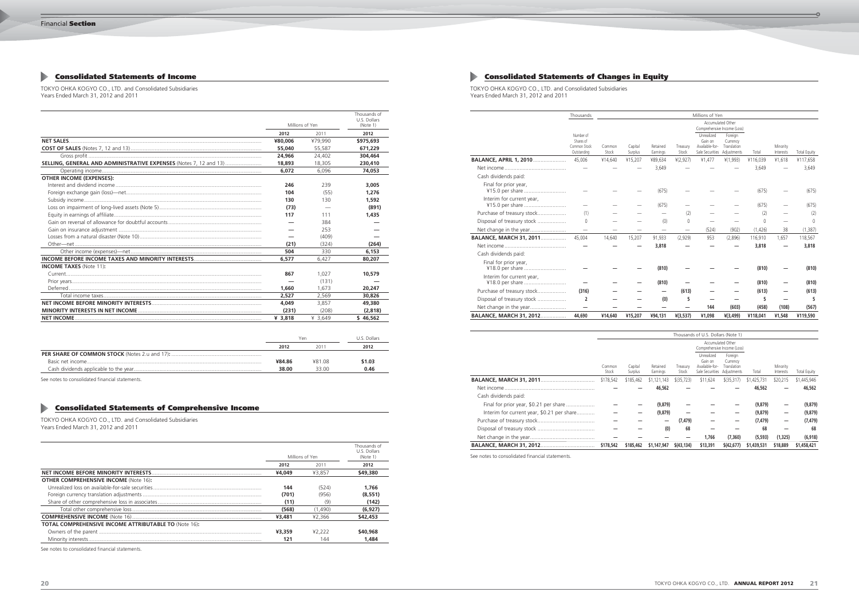$\overline{\circ}$ 

# **Consolidated Statements of Income Consolidated Statements of Changes in Equity**

TOKYO OHKA KOGYO CO., LTD. and Consolidated Subsidiaries Years Ended March 31, 2012 and 2011

TOKYO OHKA KOGYO CO., LTD. and Consolidated Subsidiaries Years Ended March 31, 2012 and 2011

|                                                                   |           |                 | Thousands of<br>U.S. Dollars |
|-------------------------------------------------------------------|-----------|-----------------|------------------------------|
|                                                                   |           | Millions of Yen | (Note 1)                     |
|                                                                   | 2012      | 2011            | 2012                         |
|                                                                   | ¥80,006   | ¥79,990         | \$975,693                    |
|                                                                   | 55,040    | 55,587          | 671.229                      |
|                                                                   | 24,966    | 24,402          | 304,464                      |
| SELLING, GENERAL AND ADMINISTRATIVE EXPENSES (Notes 7, 12 and 13) | 18,893    | 18,305          | 230,410                      |
|                                                                   | 6,072     | 6.096           | 74,053                       |
| <b>OTHER INCOME (EXPENSES):</b>                                   |           |                 |                              |
|                                                                   | 246       | 239             | 3,005                        |
|                                                                   | 104       | (55)            | 1,276                        |
|                                                                   | 130       | 130             | 1,592                        |
|                                                                   | (73)      |                 | (891)                        |
|                                                                   | 117       | 111             | 1,435                        |
|                                                                   |           | 384             |                              |
|                                                                   |           | 253             |                              |
|                                                                   |           | (409)           |                              |
|                                                                   | (21)      | (324)           | (264)                        |
|                                                                   | 504       | 330             | 6,153                        |
|                                                                   | 6.577     | 6,427           | 80,207                       |
| <b>INCOME TAXES</b> (Note 11):                                    |           |                 |                              |
|                                                                   | 867       | 1.027           | 10,579                       |
|                                                                   |           | (131)           |                              |
|                                                                   | 1,660     | 1.673           | 20,247                       |
|                                                                   | 2.527     | 2,569           | 30,826                       |
|                                                                   | 4,049     | 3.857           | 49,380                       |
|                                                                   | (231)     | (208)           | (2,818)                      |
|                                                                   | ¥ $3.818$ | ¥ 3,649         | \$46.562                     |

|        | Yen   | U.S. Dollars |  |
|--------|-------|--------------|--|
| 2012   | 2011  | 2012         |  |
|        |       |              |  |
| ¥84.86 | 48108 | \$1.03       |  |
| 38.00  | 33.00 | 0.46         |  |

See notes to consolidated financial statements.

|                                              | Thousands                                             |                 |                    |                          |                          | Millions of Yen                                            |                                                   |          |                       |                     |
|----------------------------------------------|-------------------------------------------------------|-----------------|--------------------|--------------------------|--------------------------|------------------------------------------------------------|---------------------------------------------------|----------|-----------------------|---------------------|
|                                              |                                                       |                 |                    |                          |                          | <b>Accumulated Other</b><br>Comprehensive Income (Loss)    |                                                   |          |                       |                     |
|                                              | Number of<br>Shares of<br>Common Stock<br>Outstanding | Common<br>Stock | Capital<br>Surplus | Retained<br>Earnings     | Treasurv<br>Stock        | Unrealized<br>Gain on<br>Available-for-<br>Sale Securities | Foreign<br>Currency<br>Translation<br>Adjustments | Total    | Minority<br>Interests | <b>Total Equity</b> |
| BALANCE, APRIL 1, 2010                       | 45,006                                                | ¥14,640         | ¥15,207            | ¥89,634                  | 4(2,927)                 | ¥1,477                                                     | 4(1,993)                                          | ¥116,039 | ¥1,618                | ¥117,658            |
|                                              |                                                       |                 |                    | 3,649                    |                          |                                                            |                                                   | 3,649    |                       | 3,649               |
| Cash dividends paid:                         |                                                       |                 |                    |                          |                          |                                                            |                                                   |          |                       |                     |
| Final for prior year,<br>¥15.0 per share     |                                                       |                 |                    | (675)                    |                          |                                                            |                                                   | (675)    |                       | (675)               |
| Interim for current year,<br>¥15.0 per share |                                                       |                 |                    | (675)                    |                          |                                                            |                                                   | (675)    |                       | (675)               |
| Purchase of treasury stock                   | (1)                                                   |                 |                    |                          | (2)                      |                                                            |                                                   | (2)      |                       | (2)                 |
| Disposal of treasury stock                   | $\theta$                                              |                 |                    | (0)                      | $\mathbf 0$              |                                                            |                                                   | $\Omega$ |                       | $\Omega$            |
| Net change in the year                       | $\overline{\phantom{0}}$                              |                 |                    | $\overline{\phantom{0}}$ | $\overline{\phantom{0}}$ | (524)                                                      | (902)                                             | (1,426)  | 38                    | (1, 387)            |
| <b>BALANCE, MARCH 31, 2011</b>               | 45,004                                                | 14,640          | 15,207             | 91,933                   | (2,929)                  | 953                                                        | (2,896)                                           | 116,910  | 1,657                 | 118,567             |
|                                              |                                                       |                 |                    | 3,818                    |                          |                                                            |                                                   | 3,818    |                       | 3,818               |
| Cash dividends paid:                         |                                                       |                 |                    |                          |                          |                                                            |                                                   |          |                       |                     |
| Final for prior year,<br>¥18.0 per share     |                                                       |                 |                    | (810)                    |                          |                                                            |                                                   | (810)    |                       | (810)               |
| Interim for current year,<br>¥18.0 per share |                                                       |                 |                    | (810)                    |                          |                                                            |                                                   | (810)    |                       | (810)               |
| Purchase of treasury stock                   | (316)                                                 |                 |                    |                          | (613)                    |                                                            |                                                   | (613)    |                       | (613)               |
| Disposal of treasury stock                   | $\overline{2}$                                        |                 |                    | (0)                      | 5                        |                                                            |                                                   | 5        |                       | 5                   |
|                                              |                                                       |                 |                    |                          |                          | 144                                                        | (603)                                             | (458)    | (108)                 | (567)               |
| <b>BALANCE, MARCH 31, 2012</b>               | 44,690                                                | ¥14,640         | ¥15,207            | ¥94,131                  | $*(3,537)$               | ¥1,098                                                     | $*(3,499)$                                        | ¥118,041 | ¥1,548                | ¥119,590            |

|                                            | Thousands of U.S. Dollars (Note 1) |                    |                      |                   |                                                                        |                                    |             |                       |              |
|--------------------------------------------|------------------------------------|--------------------|----------------------|-------------------|------------------------------------------------------------------------|------------------------------------|-------------|-----------------------|--------------|
|                                            |                                    |                    |                      |                   | Accumulated Other<br>Comprehensive Income (Loss)                       |                                    |             |                       |              |
|                                            | Common<br>Stock                    | Capital<br>Surplus | Retained<br>Earnings | Treasury<br>Stock | Unrealized<br>Gain on<br>Available-for-<br>Sale Securities Adjustments | Foreign<br>Currency<br>Translation | Total       | Minority<br>Interests | Total Equity |
|                                            | \$178,542                          | \$185,462          | \$1,121,143          | $$$ (35,723)      | \$11,624                                                               | (35, 317)                          | \$1,425,731 | \$20,215              | \$1,445,946  |
|                                            |                                    |                    | 46,562               |                   |                                                                        |                                    | 46,562      |                       | 46,562       |
| Cash dividends paid:                       |                                    |                    |                      |                   |                                                                        |                                    |             |                       |              |
| Final for prior year, \$0.21 per share     |                                    |                    | (9,879)              |                   |                                                                        |                                    | (9,879)     |                       | (9,879)      |
| Interim for current year, \$0.21 per share |                                    |                    | (9,879)              |                   |                                                                        |                                    | (9,879)     | —                     | (9,879)      |
|                                            |                                    |                    | —                    | (7, 479)          |                                                                        |                                    | (7, 479)    | —                     | (7, 479)     |
|                                            |                                    |                    | (0)                  | 68                |                                                                        |                                    | 68          |                       | 68           |
|                                            |                                    |                    |                      |                   | 1,766                                                                  | (7, 360)                           | (5, 593)    | (1, 325)              | (6,918)      |
|                                            | \$178,542                          | \$185,462          | \$1,147,947          | \$(43, 134)       | \$13,391                                                               | \$(42, 677)                        | \$1,439,531 | \$18,889              | \$1,458,421  |

See notes to consolidated financial statements.

|                                                              |                 |         | Thousands of<br>U.S. Dollars |
|--------------------------------------------------------------|-----------------|---------|------------------------------|
|                                                              | Millions of Yen |         | (Note 1)                     |
|                                                              | 2012            | 2011    | 2012                         |
|                                                              | ¥4,049          | ¥3.857  | \$49,380                     |
| <b>OTHER COMPREHENSIVE INCOME (Note 16):</b>                 |                 |         |                              |
|                                                              | 144             | (524)   | 1.766                        |
|                                                              | (701)           | (956)   | (8.551)                      |
|                                                              | (11)            | (9)     | (142)                        |
|                                                              | (568)           | (1.490) | (6.927)                      |
|                                                              | ¥3,481          | ¥2,366  | \$42,453                     |
| <b>TOTAL COMPREHENSIVE INCOME ATTRIBUTABLE TO (Note 16):</b> |                 |         |                              |
|                                                              | ¥3,359          | 42.222  | \$40,968                     |
|                                                              | 121             | 144     | 1.484                        |

See notes to consolidated financial statements.

# **Consolidated Statements of Comprehensive Income**

TOKYO OHKA KOGYO CO., LTD. and Consolidated Subsidiaries Years Ended March 31, 2012 and 2011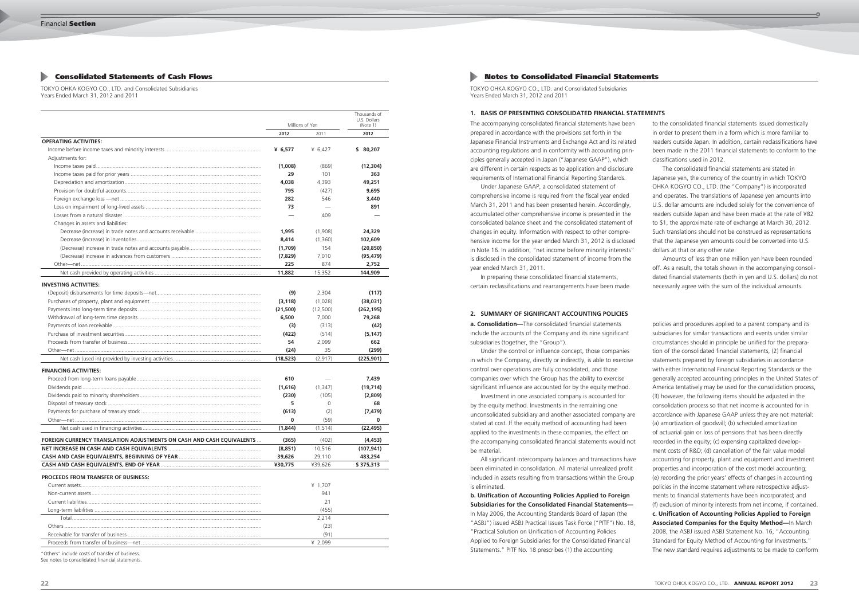# **Notes to Consolidated Financial Statements**

TOKYO OHKA KOGYO CO., LTD. and Consolidated Subsidiaries Years Ended March 31, 2012 and 2011

The accompanying consolidated financial statements have been prepared in accordance with the provisions set forth in the Japanese Financial Instruments and Exchange Act and its related accounting regulations and in conformity with accounting principles generally accepted in Japan ("Japanese GAAP"), which are different in certain respects as to application and disclosure requirements of International Financial Reporting Standards.

 Under Japanese GAAP, a consolidated statement of comprehensive income is required from the fiscal year ended March 31, 2011 and has been presented herein. Accordingly, accumulated other comprehensive income is presented in the consolidated balance sheet and the consolidated statement of changes in equity. Information with respect to other comprehensive income for the year ended March 31, 2012 is disclosed in Note 16. In addition, "net income before minority interests" is disclosed in the consolidated statement of income from the year ended March 31, 2011.

 In preparing these consolidated financial statements, certain reclassifications and rearrangements have been made

**a. Consolidation—**The consolidated financial statements include the accounts of the Company and its nine significant subsidiaries (together, the "Group").

 Under the control or influence concept, those companies in which the Company, directly or indirectly, is able to exercise control over operations are fully consolidated, and those companies over which the Group has the ability to exercise significant influence are accounted for by the equity method.

 Investment in one associated company is accounted for by the equity method. Investments in the remaining one unconsolidated subsidiary and another associated company are stated at cost. If the equity method of accounting had been applied to the investments in these companies, the effect on the accompanying consolidated financial statements would not be material.

 All significant intercompany balances and transactions have been eliminated in consolidation. All material unrealized profit included in assets resulting from transactions within the Group is eliminated.

**b. Unification of Accounting Policies Applied to Foreign Subsidiaries for the Consolidated Financial Statements—** In May 2006, the Accounting Standards Board of Japan (the "ASBJ") issued ASBJ Practical Issues Task Force ("PITF") No. 18, "Practical Solution on Unification of Accounting Policies Applied to Foreign Subsidiaries for the Consolidated Financial Statements." PITF No. 18 prescribes (1) the accounting

# **1. BASIS OF PRESENTING CONSOLIDATED FINANCIAL STATEMENTS**

# **2. SUMMARY OF SIGNIFICANT ACCOUNTING POLICIES**

to the consolidated financial statements issued domestically in order to present them in a form which is more familiar to readers outside Japan. In addition, certain reclassifications have been made in the 2011 financial statements to conform to the classifications used in 2012.

 The consolidated financial statements are stated in Japanese yen, the currency of the country in which TOKYO OHKA KOGYO CO., LTD. (the "Company") is incorporated and operates. The translations of Japanese yen amounts into U.S. dollar amounts are included solely for the convenience of readers outside Japan and have been made at the rate of ¥82 to \$1, the approximate rate of exchange at March 30, 2012. Such translations should not be construed as representations that the Japanese yen amounts could be converted into U.S. dollars at that or any other rate.

 Amounts of less than one million yen have been rounded off. As a result, the totals shown in the accompanying consolidated financial statements (both in yen and U.S. dollars) do not necessarily agree with the sum of the individual amounts.

policies and procedures applied to a parent company and its subsidiaries for similar transactions and events under similar circumstances should in principle be unified for the preparation of the consolidated financial statements, (2) financial statements prepared by foreign subsidiaries in accordance with either International Financial Reporting Standards or the generally accepted accounting principles in the United States of America tentatively may be used for the consolidation process, (3) however, the following items should be adjusted in the consolidation process so that net income is accounted for in accordance with Japanese GAAP unless they are not material: (a) amortization of goodwill; (b) scheduled amortization of actuarial gain or loss of pensions that has been directly recorded in the equity; (c) expensing capitalized development costs of R&D; (d) cancellation of the fair value model accounting for property, plant and equipment and investment properties and incorporation of the cost model accounting; (e) recording the prior years' effects of changes in accounting policies in the income statement where retrospective adjustments to financial statements have been incorporated; and (f) exclusion of minority interests from net income, if contained. **c. Unification of Accounting Policies Applied to Foreign Associated Companies for the Equity Method—**In March 2008, the ASBJ issued ASBJ Statement No. 16, "Accounting Standard for Equity Method of Accounting for Investments." The new standard requires adjustments to be made to conform

# **Consolidated Statements of Cash Flows**

TOKYO OHKA KOGYO CO., LTD. and Consolidated Subsidiaries Years Ended March 31, 2012 and 2011

|                                                                       |                   |                | Thousands of<br>U.S. Dollars |  |
|-----------------------------------------------------------------------|-------------------|----------------|------------------------------|--|
|                                                                       | Millions of Yen   |                | (Note 1)                     |  |
|                                                                       | 2012              | 2011           | 2012                         |  |
| <b>OPERATING ACTIVITIES:</b>                                          |                   |                |                              |  |
|                                                                       | ¥ $6,577$         | ¥ $6,427$      | \$ 80,207                    |  |
| Adjustments for:                                                      |                   |                |                              |  |
|                                                                       | (1,008)           | (869)          | (12, 304)                    |  |
|                                                                       | 29                | 101            | 363                          |  |
|                                                                       | 4,038             | 4,393          | 49,251                       |  |
|                                                                       | 795               | (427)          | 9,695                        |  |
|                                                                       | 282               | 546            | 3,440                        |  |
|                                                                       | 73                |                | 891                          |  |
|                                                                       |                   | 409            |                              |  |
| Changes in assets and liabilities:                                    |                   |                |                              |  |
|                                                                       | 1,995             | (1,908)        | 24,329                       |  |
|                                                                       | 8,414             | (1,360)        | 102,609                      |  |
|                                                                       | (1,709)           | 154            | (20, 850)                    |  |
|                                                                       | (7,829)           | 7,010          | (95, 479)                    |  |
|                                                                       | 225               | 874            | 2,752                        |  |
|                                                                       | 11,882            | 15,352         | 144,909                      |  |
| <b>INVESTING ACTIVITIES:</b>                                          |                   |                |                              |  |
|                                                                       | (9)               | 2,304          | (117)                        |  |
|                                                                       | (3, 118)          | (1,028)        | (38,031)                     |  |
|                                                                       |                   | (12,500)       |                              |  |
|                                                                       | (21,500)          |                | (262, 195)                   |  |
|                                                                       | 6,500             | 7,000          | 79,268                       |  |
|                                                                       | (3)               | (313)          | (42)                         |  |
|                                                                       | (422)<br>54       | (514)          | (5, 147)                     |  |
|                                                                       |                   | 2,099          | 662                          |  |
|                                                                       | (24)<br>(18, 523) | 35<br>(2, 917) | (299)<br>(225, 901)          |  |
|                                                                       |                   |                |                              |  |
| <b>FINANCING ACTIVITIES:</b>                                          |                   |                |                              |  |
|                                                                       | 610               |                | 7,439                        |  |
|                                                                       | (1,616)           | (1, 347)       | (19, 714)                    |  |
|                                                                       | (230)             | (105)          | (2,809)                      |  |
|                                                                       | 5                 | $\Omega$       | 68                           |  |
|                                                                       | (613)             | (2)            | (7, 479)                     |  |
|                                                                       | 0                 | (59)           | $\bf{0}$                     |  |
|                                                                       | (1,844)           | (1, 514)       | (22, 495)                    |  |
| FOREIGN CURRENCY TRANSLATION ADJUSTMENTS ON CASH AND CASH EQUIVALENTS | (365)             | (402)          | (4, 453)                     |  |
|                                                                       | (8,851)           | 10,516         | (107, 941)                   |  |
|                                                                       | 39,626            | 29,110         | 483,254                      |  |
|                                                                       | ¥30,775           | ¥39,626        | \$375,313                    |  |
| <b>PROCEEDS FROM TRANSFER OF BUSINESS:</b>                            |                   |                |                              |  |
|                                                                       |                   | ¥ 1,707        |                              |  |
|                                                                       |                   | 941            |                              |  |
|                                                                       |                   | 21             |                              |  |
|                                                                       |                   | (455)          |                              |  |
|                                                                       |                   | 2,214          |                              |  |
|                                                                       |                   | (23)           |                              |  |
|                                                                       |                   | (91)           |                              |  |
|                                                                       |                   | ¥ 2,099        |                              |  |

"Others" include costs of transfer of business.

See notes to consolidated financial statements.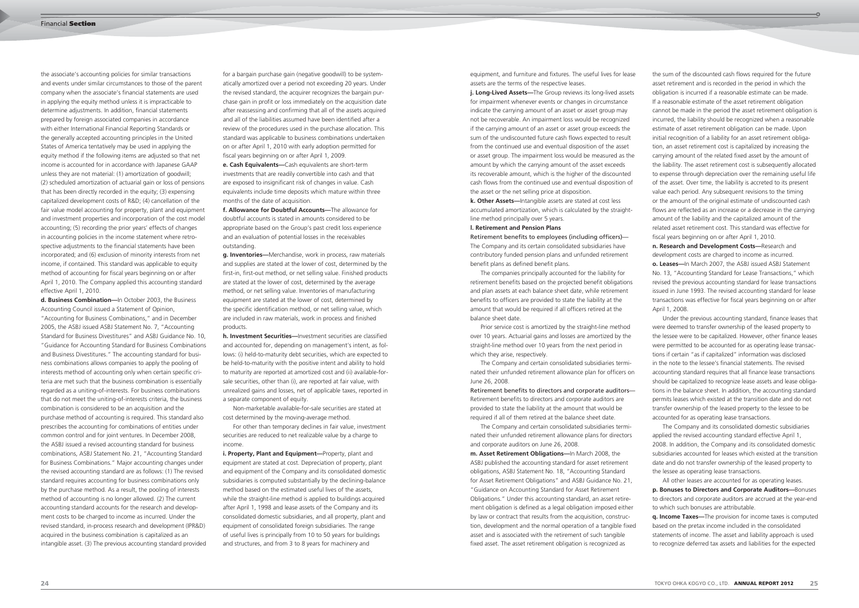the associate's accounting policies for similar transactions and events under similar circumstances to those of the parent company when the associate's financial statements are used in applying the equity method unless it is impracticable to determine adjustments. In addition, financial statements prepared by foreign associated companies in accordance with either International Financial Reporting Standards or the generally accepted accounting principles in the United States of America tentatively may be used in applying the equity method if the following items are adjusted so that net income is accounted for in accordance with Japanese GAAP unless they are not material: (1) amortization of goodwill; (2) scheduled amortization of actuarial gain or loss of pensions that has been directly recorded in the equity; (3) expensing capitalized development costs of R&D; (4) cancellation of the fair value model accounting for property, plant and equipment and investment properties and incorporation of the cost model accounting; (5) recording the prior years' effects of changes in accounting policies in the income statement where retrospective adjustments to the financial statements have been incorporated; and (6) exclusion of minority interests from net income, if contained. This standard was applicable to equity method of accounting for fiscal years beginning on or after April 1, 2010. The Company applied this accounting standard effective April 1, 2010.

**j. Long-Lived Assets—**The Group reviews its long-lived assets for impairment whenever events or changes in circumstance indicate the carrying amount of an asset or asset group may not be recoverable. An impairment loss would be recognized if the carrying amount of an asset or asset group exceeds the sum of the undiscounted future cash flows expected to result from the continued use and eventual disposition of the asset or asset group. The impairment loss would be measured as the amount by which the carrying amount of the asset exceeds its recoverable amount, which is the higher of the discounted cash flows from the continued use and eventual disposition of the asset or the net selling price at disposition.

**d. Business Combination—**In October 2003, the Business Accounting Council issued a Statement of Opinion, "Accounting for Business Combinations," and in December 2005, the ASBJ issued ASBJ Statement No. 7, "Accounting Standard for Business Divestitures" and ASBJ Guidance No. 10, "Guidance for Accounting Standard for Business Combinations and Business Divestitures." The accounting standard for business combinations allows companies to apply the pooling of interests method of accounting only when certain specific criteria are met such that the business combination is essentially regarded as a uniting-of-interests. For business combinations that do not meet the uniting-of-interests criteria, the business combination is considered to be an acquisition and the purchase method of accounting is required. This standard also prescribes the accounting for combinations of entities under common control and for joint ventures. In December 2008, the ASBJ issued a revised accounting standard for business combinations, ASBJ Statement No. 21, "Accounting Standard for Business Combinations." Major accounting changes under the revised accounting standard are as follows: (1) The revised standard requires accounting for business combinations only by the purchase method. As a result, the pooling of interests method of accounting is no longer allowed. (2) The current accounting standard accounts for the research and development costs to be charged to income as incurred. Under the revised standard, in-process research and development (IPR&D) acquired in the business combination is capitalized as an intangible asset. (3) The previous accounting standard provided equipment, and furniture and fixtures. The useful lives for lease assets are the terms of the respective leases.

**k. Other Assets—**Intangible assets are stated at cost less accumulated amortization, which is calculated by the straightline method principally over 5 years.

# **l. Retirement and Pension Plans**

Retirement benefits to employees (including officers)— The Company and its certain consolidated subsidiaries have contributory funded pension plans and unfunded retirement benefit plans as defined benefit plans.

 The companies principally accounted for the liability for retirement benefits based on the projected benefit obligations and plan assets at each balance sheet date, while retirement benefits to officers are provided to state the liability at the amount that would be required if all officers retired at the balance sheet date.

 Prior service cost is amortized by the straight-line method over 10 years. Actuarial gains and losses are amortized by the straight-line method over 10 years from the next period in which they arise, respectively.

 The Company and certain consolidated subsidiaries terminated their unfunded retirement allowance plan for officers on June 26, 2008.

Retirement benefits to directors and corporate auditors— Retirement benefits to directors and corporate auditors are provided to state the liability at the amount that would be required if all of them retired at the balance sheet date.

 The Company and certain consolidated subsidiaries terminated their unfunded retirement allowance plans for directors and corporate auditors on June 26, 2008.

**m. Asset Retirement Obligations—**In March 2008, the ASBJ published the accounting standard for asset retirement obligations, ASBJ Statement No. 18, "Accounting Standard for Asset Retirement Obligations" and ASBJ Guidance No. 21, "Guidance on Accounting Standard for Asset Retirement Obligations." Under this accounting standard, an asset retirement obligation is defined as a legal obligation imposed either by law or contract that results from the acquisition, construction, development and the normal operation of a tangible fixed asset and is associated with the retirement of such tangible fixed asset. The asset retirement obligation is recognized as

for a bargain purchase gain (negative goodwill) to be systematically amortized over a period not exceeding 20 years. Under the revised standard, the acquirer recognizes the bargain purchase gain in profit or loss immediately on the acquisition date after reassessing and confirming that all of the assets acquired and all of the liabilities assumed have been identified after a review of the procedures used in the purchase allocation. This standard was applicable to business combinations undertaken on or after April 1, 2010 with early adoption permitted for fiscal years beginning on or after April 1, 2009.

**e. Cash Equivalents—**Cash equivalents are short-term investments that are readily convertible into cash and that are exposed to insignificant risk of changes in value. Cash equivalents include time deposits which mature within three months of the date of acquisition.

**f. Allowance for Doubtful Accounts—**The allowance for doubtful accounts is stated in amounts considered to be appropriate based on the Group's past credit loss experience and an evaluation of potential losses in the receivables outstanding.

**g. Inventories—**Merchandise, work in process, raw materials and supplies are stated at the lower of cost, determined by the first-in, first-out method, or net selling value. Finished products are stated at the lower of cost, determined by the average method, or net selling value. Inventories of manufacturing equipment are stated at the lower of cost, determined by the specific identification method, or net selling value, which are included in raw materials, work in process and finished products.

**h. Investment Securities—**Investment securities are classified and accounted for, depending on management's intent, as follows: (i) held-to-maturity debt securities, which are expected to be held-to-maturity with the positive intent and ability to hold to maturity are reported at amortized cost and (ii) available-forsale securities, other than (i), are reported at fair value, with unrealized gains and losses, net of applicable taxes, reported in a separate component of equity.

 Non-marketable available-for-sale securities are stated at cost determined by the moving-average method.

 For other than temporary declines in fair value, investment securities are reduced to net realizable value by a charge to income.

**i. Property, Plant and Equipment—**Property, plant and equipment are stated at cost. Depreciation of property, plant and equipment of the Company and its consolidated domestic subsidiaries is computed substantially by the declining-balance method based on the estimated useful lives of the assets, while the straight-line method is applied to buildings acquired after April 1, 1998 and lease assets of the Company and its consolidated domestic subsidiaries, and all property, plant and equipment of consolidated foreign subsidiaries. The range of useful lives is principally from 10 to 50 years for buildings and structures, and from 3 to 8 years for machinery and

the sum of the discounted cash flows required for the future asset retirement and is recorded in the period in which the obligation is incurred if a reasonable estimate can be made. If a reasonable estimate of the asset retirement obligation cannot be made in the period the asset retirement obligation is incurred, the liability should be recognized when a reasonable estimate of asset retirement obligation can be made. Upon initial recognition of a liability for an asset retirement obligation, an asset retirement cost is capitalized by increasing the carrying amount of the related fixed asset by the amount of the liability. The asset retirement cost is subsequently allocated to expense through depreciation over the remaining useful life of the asset. Over time, the liability is accreted to its present value each period. Any subsequent revisions to the timing or the amount of the original estimate of undiscounted cash flows are reflected as an increase or a decrease in the carrying amount of the liability and the capitalized amount of the related asset retirement cost. This standard was effective for fiscal years beginning on or after April 1, 2010.

**n. Research and Development Costs—**Research and development costs are charged to income as incurred. **o. Leases—**In March 2007, the ASBJ issued ASBJ Statement No. 13, "Accounting Standard for Lease Transactions," which revised the previous accounting standard for lease transactions issued in June 1993. The revised accounting standard for lease transactions was effective for fiscal years beginning on or after April 1, 2008.

 Under the previous accounting standard, finance leases that were deemed to transfer ownership of the leased property to the lessee were to be capitalized. However, other finance leases were permitted to be accounted for as operating lease transactions if certain "as if capitalized" information was disclosed in the note to the lessee's financial statements. The revised accounting standard requires that all finance lease transactions should be capitalized to recognize lease assets and lease obligations in the balance sheet. In addition, the accounting standard permits leases which existed at the transition date and do not transfer ownership of the leased property to the lessee to be accounted for as operating lease transactions.

 The Company and its consolidated domestic subsidiaries applied the revised accounting standard effective April 1, 2008. In addition, the Company and its consolidated domestic subsidiaries accounted for leases which existed at the transition date and do not transfer ownership of the leased property to the lessee as operating lease transactions.

 All other leases are accounted for as operating leases. **p. Bonuses to Directors and Corporate Auditors—**Bonuses to directors and corporate auditors are accrued at the year-end to which such bonuses are attributable.

**q. Income Taxes—**The provision for income taxes is computed based on the pretax income included in the consolidated statements of income. The asset and liability approach is used to recognize deferred tax assets and liabilities for the expected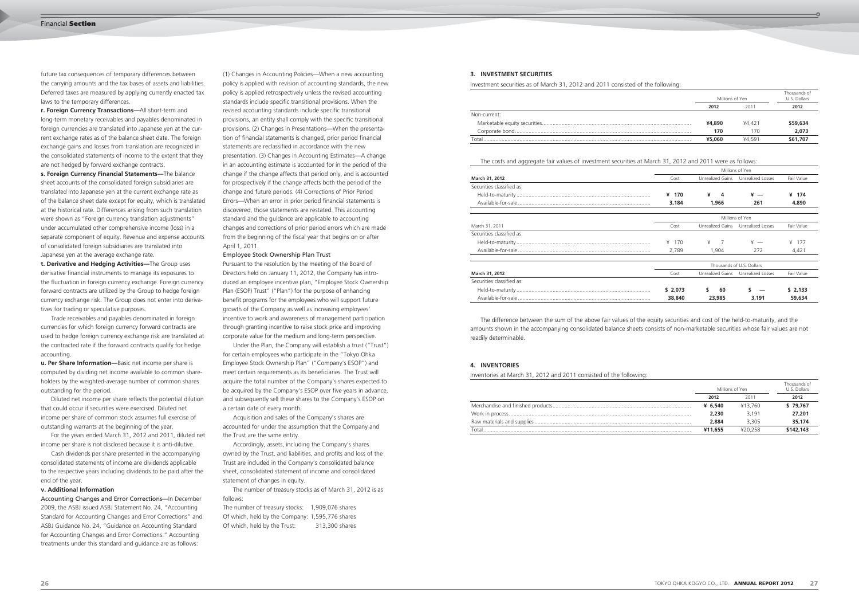future tax consequences of temporary differences between the carrying amounts and the tax bases of assets and liabilities. Deferred taxes are measured by applying currently enacted tax laws to the temporary differences.

**r. Foreign Currency Transactions—**All short-term and long-term monetary receivables and payables denominated in foreign currencies are translated into Japanese yen at the current exchange rates as of the balance sheet date. The foreign exchange gains and losses from translation are recognized in the consolidated statements of income to the extent that they are not hedged by forward exchange contracts.

**s. Foreign Currency Financial Statements—**The balance sheet accounts of the consolidated foreign subsidiaries are translated into Japanese yen at the current exchange rate as of the balance sheet date except for equity, which is translated at the historical rate. Differences arising from such translation were shown as "Foreign currency translation adjustments" under accumulated other comprehensive income (loss) in a separate component of equity. Revenue and expense accounts of consolidated foreign subsidiaries are translated into Japanese yen at the average exchange rate.

**t. Derivative and Hedging Activities—**The Group uses derivative financial instruments to manage its exposures to the fluctuation in foreign currency exchange. Foreign currency forward contracts are utilized by the Group to hedge foreign currency exchange risk. The Group does not enter into derivatives for trading or speculative purposes.

 Trade receivables and payables denominated in foreign currencies for which foreign currency forward contracts are used to hedge foreign currency exchange risk are translated at the contracted rate if the forward contracts qualify for hedge accounting.

**u. Per Share Information—**Basic net income per share is computed by dividing net income available to common shareholders by the weighted-average number of common shares outstanding for the period.

 Diluted net income per share reflects the potential dilution that could occur if securities were exercised. Diluted net income per share of common stock assumes full exercise of outstanding warrants at the beginning of the year.

 For the years ended March 31, 2012 and 2011, diluted net income per share is not disclosed because it is anti-dilutive.

Pursuant to the resolution by the meeting of the Board of Directors held on January 11, 2012, the Company has introduced an employee incentive plan, "Employee Stock Ownership Plan (ESOP) Trust" ("Plan") for the purpose of enhancing benefit programs for the employees who will support future growth of the Company as well as increasing employees' incentive to work and awareness of management participation through granting incentive to raise stock price and improving corporate value for the medium and long-term perspective.

 Cash dividends per share presented in the accompanying consolidated statements of income are dividends applicable to the respective years including dividends to be paid after the end of the year.

# **v. Additional Information**

Accounting Changes and Error Corrections—In December 2009, the ASBJ issued ASBJ Statement No. 24, "Accounting Standard for Accounting Changes and Error Corrections" and ASBJ Guidance No. 24, "Guidance on Accounting Standard for Accounting Changes and Error Corrections." Accounting treatments under this standard and guidance are as follows:

(1) Changes in Accounting Policies—When a new accounting policy is applied with revision of accounting standards, the new policy is applied retrospectively unless the revised accounting standards include specific transitional provisions. When the revised accounting standards include specific transitional provisions, an entity shall comply with the specific transitional provisions. (2) Changes in Presentations—When the presentation of financial statements is changed, prior period financial statements are reclassified in accordance with the new presentation. (3) Changes in Accounting Estimates—A change in an accounting estimate is accounted for in the period of the change if the change affects that period only, and is accounted for prospectively if the change affects both the period of the change and future periods. (4) Corrections of Prior Period Errors—When an error in prior period financial statements is discovered, those statements are restated. This accounting standard and the guidance are applicable to accounting changes and corrections of prior period errors which are made from the beginning of the fiscal year that begins on or after April 1, 2011.

 Under the Plan, the Company will establish a trust ("Trust") for certain employees who participate in the "Tokyo Ohka Employee Stock Ownership Plan" ("Company's ESOP") and meet certain requirements as its beneficiaries. The Trust will acquire the total number of the Company's shares expected to be acquired by the Company's ESOP over five years in advance, and subsequently sell these shares to the Company's ESOP on a certain date of every month.

 Acquisition and sales of the Company's shares are accounted for under the assumption that the Company and the Trust are the same entity.

 Accordingly, assets, including the Company's shares owned by the Trust, and liabilities, and profits and loss of the Trust are included in the Company's consolidated balance sheet, consolidated statement of income and consolidated statement of changes in equity.

 The number of treasury stocks as of March 31, 2012 is as follows:

| The number of treasury stocks:                  | 1,909,076 shares |
|-------------------------------------------------|------------------|
| Of which, held by the Company: 1,595,776 shares |                  |
| Of which, held by the Trust:                    | 313,300 shares   |

Investment securities as of March 31, 2012 and 2011 consisted of the following:

|              |        | Millions of Yen | Thousands of<br>U.S. Dollars |
|--------------|--------|-----------------|------------------------------|
|              | 2012   | 201             | 2012                         |
| Non-current: |        |                 |                              |
|              | ¥4,890 | ¥4.421          | \$59,634                     |
|              | 170    | 170             | 2.073                        |
| Total        | ¥5,060 | ¥4.591          | \$61,707                     |

The costs and aggregate fair values of investment securities at March 31, 2012 and 2011 were as follows:

| Available-for-sale             | 3.184 | .966 | 4,890 |
|--------------------------------|-------|------|-------|
| Held-to-maturity               |       |      | 174   |
| .<br>Securities classified as: |       |      |       |

|                           | Millions of Yen |                  |                           |            |  |  |  |  |
|---------------------------|-----------------|------------------|---------------------------|------------|--|--|--|--|
| March 31, 2012            | Cost            | Unrealized Gains | Unrealized Losses         | Fair Value |  |  |  |  |
| Securities classified as: |                 |                  |                           |            |  |  |  |  |
|                           | ¥ 170           | ¥<br>4           | ¥ —                       | ¥ 174      |  |  |  |  |
|                           | 3,184           | 1,966            | 261                       | 4,890      |  |  |  |  |
|                           |                 |                  | Millions of Yen           |            |  |  |  |  |
| March 31, 2011            | Cost            | Unrealized Gains | Unrealized Losses         | Fair Value |  |  |  |  |
| Securities classified as: |                 |                  |                           |            |  |  |  |  |
|                           | 170<br>¥        | ¥<br>7           | $\frac{1}{x}$ —           | ¥ $177$    |  |  |  |  |
|                           | 2,789           | 1,904            | 272                       | 4,421      |  |  |  |  |
|                           |                 |                  | Thousands of U.S. Dollars |            |  |  |  |  |
| March 31, 2012            | Cost            | Unrealized Gains | Unrealized Losses         | Fair Value |  |  |  |  |
| Securities classified as: |                 |                  |                           |            |  |  |  |  |
|                           | \$2,073         | 60<br>s          |                           | \$2.133    |  |  |  |  |
|                           | 38,840          | 23,985           | 3,191                     | 59,634     |  |  |  |  |

 The difference between the sum of the above fair values of the equity securities and cost of the held-to-maturity, and the amounts shown in the accompanying consolidated balance sheets consists of non-marketable securities whose fair values are not readily determinable.

# **3. INVESTMENT SECURITIES**

Inventories at March 31, 2012 and 2011 consisted of the following:

|       | Millions of Yen |         | Thousands of<br>U.S. Dollars |
|-------|-----------------|---------|------------------------------|
|       | 2012<br>2011    | 2012    |                              |
|       | ¥ 6.540         | ¥13,760 | \$79,767                     |
|       | 2.230           | 3.191   | 27,201                       |
|       | 2.884           | 3 305   | 35,174                       |
| Total | ¥11.655         | ¥20.258 | \$142,143                    |

# **4. INVENTORIES**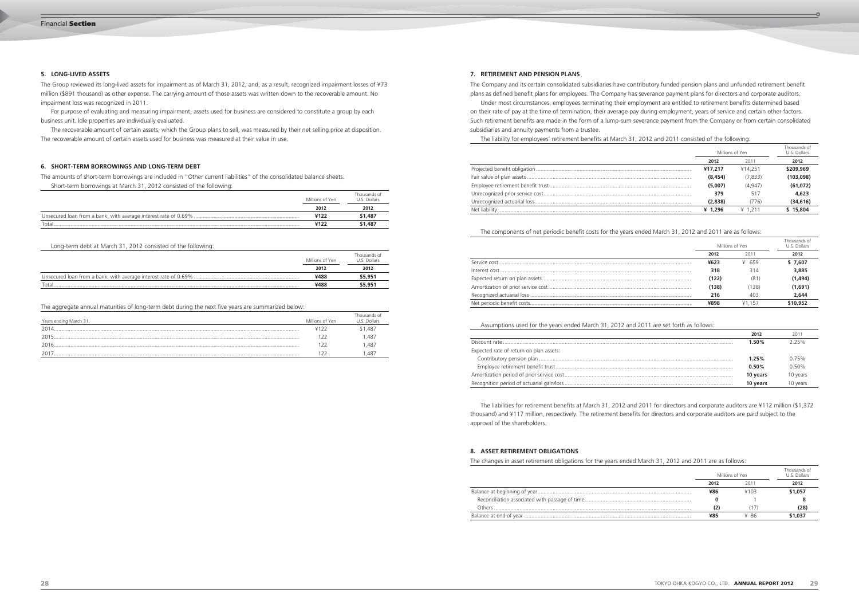The amounts of short-term borrowings are included in "Other current liabilities" of the consolidated balance sheets. Short-term borrowings at March 31, 2012 consisted of the following:

|       | Millions of Yen | Thousands of<br>U.S. Dollars |
|-------|-----------------|------------------------------|
|       | 2012            | 2012                         |
|       |                 | \$1,487                      |
| Total | ¥122            | \$1,487                      |

Long-term debt at March 31, 2012 consisted of the following:

|        | Millions of Yen | Thousands of<br>U.S. Dollars |
|--------|-----------------|------------------------------|
|        | 2012            | 2012                         |
|        | ¥488            | \$5,951                      |
| Total. | ¥488            | \$5,951                      |

The aggregate annual maturities of long-term debt during the next five years are summarized below:

| Years ending March 31, | Millions of Yen | Thousands of<br>U.S. Dollars |
|------------------------|-----------------|------------------------------|
| 2014                   |                 | \$1,487                      |
| 2015                   |                 | ,487                         |
| 2016                   |                 | ,487                         |
| 2017                   |                 | .487                         |

The Company and its certain consolidated subsidiaries have contributory funded pension plans and unfunded retirement benefit plans as defined benefit plans for employees. The Company has severance payment plans for directors and corporate auditors. Under most circumstances, employees terminating their employment are entitled to retirement benefits determined based on their rate of pay at the time of termination, their average pay during employment, years of service and certain other factors. Such retirement benefits are made in the form of a lump-sum severance payment from the Company or from certain consolidated

subsidiaries and annuity payments from a trustee.

The liability for employees' retirement benefits at March 31, 2012 and 2011 consisted of the following:

| Millions of Yen |         | Thousands of<br>U.S. Dollars |
|-----------------|---------|------------------------------|
| 2012            | 2011    | 2012                         |
| ¥17,217         | ¥14.251 | \$209,969                    |
| (8, 454)        | (7,833) | (103,098)                    |
| (5,007)         | (4.947) | (61,072)                     |
| 379             | 517     | 4,623                        |
| (2,838)         | 776)    | (34, 616)                    |
| ¥ $1.296$       | ¥ 1211  | \$15,804                     |

The components of net periodic benefit costs for the years ended March 31, 2012 and 2011 are as follows:

| Millions of Yen |        | Thousands of<br>U.S. Dollars |
|-----------------|--------|------------------------------|
| 2012            | 2011   | 2012                         |
| ¥623            | ¥ 659  | \$7,607                      |
| 318             | 314    | 3,885                        |
| (122)           | (81)   | (1,494)                      |
| (138)           | (138)  | (1,691)                      |
| 216             | 403    | 2,644                        |
| ¥898            | ¥1 157 | \$10,952                     |

Assumptions used for the years ended March 31, 2012 and 2011 are set forth as follows:

|                                         | 2012     | 2011     |
|-----------------------------------------|----------|----------|
|                                         | 1.50%    | 225%     |
| Expected rate of return on plan assets: |          |          |
|                                         | 1.25%    | 0.75%    |
|                                         | 0.50%    | $0.50\%$ |
|                                         | 10 years | 10 years |
|                                         | 10 years | 10 years |

 The liabilities for retirement benefits at March 31, 2012 and 2011 for directors and corporate auditors are ¥112 million (\$1,372 thousand) and ¥117 million, respectively. The retirement benefits for directors and corporate auditors are paid subject to the approval of the shareholders.

# **6. SHORT-TERM BORROWINGS AND LONG-TERM DEBT**

# **7. RETIREMENT AND PENSION PLANS**

The changes in asset retirement obligations for the years ended March 31, 2012 and 2011 are as follows:

Balance at beginning of year...

Balance at end of year...

|      | Millions of Yen | Thousands of<br>U.S. Dollars |
|------|-----------------|------------------------------|
| 2012 | 2011            | 2012                         |
| ¥86  | ¥103            | \$1,057                      |
|      |                 |                              |
| (2)  |                 | (28)                         |
| ¥85  | ¥ 86            | \$1,037                      |

# **8. ASSET RETIREMENT OBLIGATIONS**

The Group reviewed its long-lived assets for impairment as of March 31, 2012, and, as a result, recognized impairment losses of ¥73 million (\$891 thousand) as other expense. The carrying amount of those assets was written down to the recoverable amount. No impairment loss was recognized in 2011.

 For purpose of evaluating and measuring impairment, assets used for business are considered to constitute a group by each business unit. Idle properties are individually evaluated.

 The recoverable amount of certain assets, which the Group plans to sell, was measured by their net selling price at disposition. The recoverable amount of certain assets used for business was measured at their value in use.

# **5. LONG-LIVED ASSETS**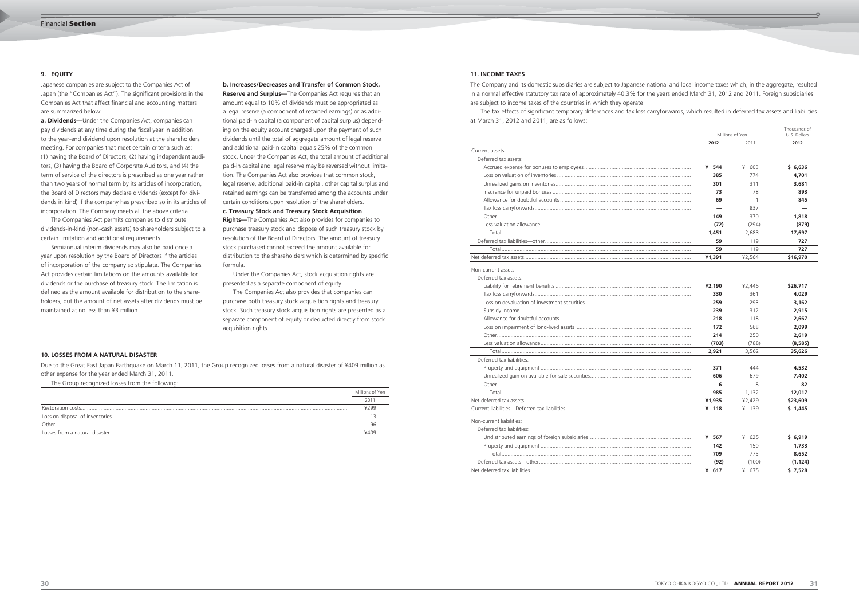Japanese companies are subject to the Companies Act of Japan (the "Companies Act"). The significant provisions in the Companies Act that affect financial and accounting matters are summarized below:

**a. Dividends—**Under the Companies Act, companies can pay dividends at any time during the fiscal year in addition to the year-end dividend upon resolution at the shareholders meeting. For companies that meet certain criteria such as; (1) having the Board of Directors, (2) having independent auditors, (3) having the Board of Corporate Auditors, and (4) the term of service of the directors is prescribed as one year rather than two years of normal term by its articles of incorporation, the Board of Directors may declare dividends (except for dividends in kind) if the company has prescribed so in its articles of incorporation. The Company meets all the above criteria.

 The Companies Act permits companies to distribute dividends-in-kind (non-cash assets) to shareholders subject to a certain limitation and additional requirements.

**Reserve and Surplus**—The Companies Act requires that an amount equal to 10% of dividends must be appropriated as a legal reserve (a component of retained earnings) or as additional paid-in capital (a component of capital surplus) depending on the equity account charged upon the payment of such dividends until the total of aggregate amount of legal reserve and additional paid-in capital equals 25% of the common stock. Under the Companies Act, the total amount of additional paid-in capital and legal reserve may be reversed without limitation. The Companies Act also provides that common stock, legal reserve, additional paid-in capital, other capital surplus and retained earnings can be transferred among the accounts under certain conditions upon resolution of the shareholders.

 Semiannual interim dividends may also be paid once a year upon resolution by the Board of Directors if the articles of incorporation of the company so stipulate. The Companies Act provides certain limitations on the amounts available for dividends or the purchase of treasury stock. The limitation is defined as the amount available for distribution to the shareholders, but the amount of net assets after dividends must be maintained at no less than ¥3 million.

# **b. Increases/Decreases and Transfer of Common Stock,**

**c. Treasury Stock and Treasury Stock Acquisition** 

**Rights—**The Companies Act also provides for companies to purchase treasury stock and dispose of such treasury stock by resolution of the Board of Directors. The amount of treasury stock purchased cannot exceed the amount available for distribution to the shareholders which is determined by specific formula.

 Under the Companies Act, stock acquisition rights are presented as a separate component of equity.

 The Companies Act also provides that companies can purchase both treasury stock acquisition rights and treasury stock. Such treasury stock acquisition rights are presented as a separate component of equity or deducted directly from stock acquisition rights.

# **9. EQUITY**

Due to the Great East Japan Earthquake on March 11, 2011, the Group recognized losses from a natural disaster of ¥409 million as other expense for the year ended March 31, 2011.

The Group recognized losses from the following:

|       | Millions of Yen |
|-------|-----------------|
|       | 201             |
|       | 4299            |
|       |                 |
| Other | 96              |
|       | ¥409            |

# **10. LOSSES FROM A NATURAL DISASTER**

The Company and its domestic subsidiaries are subject to Japanese national and local income taxes which, in the aggregate, resulted in a normal effective statutory tax rate of approximately 40.3% for the years ended March 31, 2012 and 2011. Foreign subsidiaries are subject to income taxes of the countries in which they operate. The tax effects of significant temporary differences and tax loss carryforwards, which resulted in deferred tax assets and liabilities at March 31, 2012 and 2011, are as follows:

|                           | Millions of Yen          |                | Thousands of<br>U.S. Dollars |
|---------------------------|--------------------------|----------------|------------------------------|
|                           | 2012                     | 2011           | 2012                         |
| Current assets:           |                          |                |                              |
| Deferred tax assets:      |                          |                |                              |
|                           | ¥ 544                    | ¥ 603          | \$6,636                      |
|                           | 385                      | 774            | 4,701                        |
|                           | 301                      | 311            | 3,681                        |
|                           | 73                       | 78             | 893                          |
|                           | 69                       | $\overline{1}$ | 845                          |
|                           | $\overline{\phantom{0}}$ | 837            |                              |
|                           | 149                      | 370            | 1,818                        |
|                           | (72)                     | (294)          | (879)                        |
|                           | 1,451                    | 2,683          | 17,697                       |
|                           | 59                       | 119            | 727                          |
|                           | 59                       | 119            | 727                          |
|                           | ¥1,391                   | ¥2,564         | \$16,970                     |
| Non-current assets:       |                          |                |                              |
| Deferred tax assets:      |                          |                |                              |
|                           | ¥2,190                   | ¥2,445         | \$26,717                     |
|                           | 330                      | 361            | 4,029                        |
|                           | 259                      | 293            | 3,162                        |
|                           | 239                      | 312            | 2,915                        |
|                           | 218                      | 118            | 2,667                        |
|                           | 172                      | 568            | 2,099                        |
|                           | 214                      | 250            | 2,619                        |
|                           | (703)                    | (788)          | (8,585)                      |
|                           | 2,921                    | 3,562          | 35,626                       |
| Deferred tax liabilities: |                          |                |                              |
|                           | 371                      | 444            | 4,532                        |
|                           | 606                      | 679            | 7,402                        |
|                           | 6                        | 8              | 82                           |
|                           | 985                      | 1,132          | 12,017                       |
|                           | ¥1,935                   | ¥2,429         | \$23,609                     |
|                           | ¥ 118                    | ¥ 139          | \$1,445                      |
|                           |                          |                |                              |
| Non-current liabilities:  |                          |                |                              |
| Deferred tax liabilities: |                          |                |                              |
|                           | ¥ 567                    | ¥ 625          | \$6,919                      |
|                           | 142                      | 150            | 1,733                        |
|                           | 709                      | 775            | 8,652                        |
|                           | (92)                     | (100)          | (1.124)                      |

|                           | 2012    | 2011     | 2012     |
|---------------------------|---------|----------|----------|
| Current assets:           |         |          |          |
| Deferred tax assets:      |         |          |          |
|                           | ¥ 544   | ¥<br>603 | \$6,636  |
|                           | 385     | 774      | 4,701    |
|                           | 301     | 311      | 3,681    |
|                           | 73      | 78       | 893      |
|                           | 69      | 1        | 845      |
|                           |         | 837      |          |
|                           | 149     | 370      | 1,818    |
|                           | (72)    | (294)    | (879)    |
|                           | 1,451   | 2,683    | 17,697   |
|                           | 59      | 119      | 727      |
|                           | 59      | 119      | 727      |
|                           | ¥1,391  | ¥2,564   | \$16,970 |
| Non-current assets:       |         |          |          |
| Deferred tax assets:      |         |          |          |
|                           | ¥2,190  | ¥2,445   | \$26,717 |
|                           | 330     | 361      | 4,029    |
|                           | 259     | 293      | 3,162    |
|                           | 239     | 312      | 2,915    |
|                           | 218     | 118      | 2,667    |
|                           | 172     | 568      | 2,099    |
|                           | 214     | 250      | 2,619    |
|                           | (703)   | (788)    | (8,585)  |
|                           | 2,921   | 3,562    | 35,626   |
| Deferred tax liabilities: |         |          |          |
|                           | 371     | 444      | 4,532    |
|                           | 606     | 679      | 7,402    |
|                           | 6       | 8        | 82       |
|                           | 985     | 1,132    | 12,017   |
|                           | ¥1,935  | ¥2,429   | \$23,609 |
|                           | ¥ 118   | ¥ 139    | \$1,445  |
| Non-current liabilities:  |         |          |          |
| Deferred tax liabilities: |         |          |          |
|                           | ¥ 567   | ¥ 625    | \$6,919  |
|                           | 142     | 150      | 1,733    |
|                           | 709     | 775      | 8,652    |
|                           | (92)    | (100)    | (1, 124) |
|                           | ¥ $617$ | ¥ 675    | \$7,528  |

# **11. INCOME TAXES**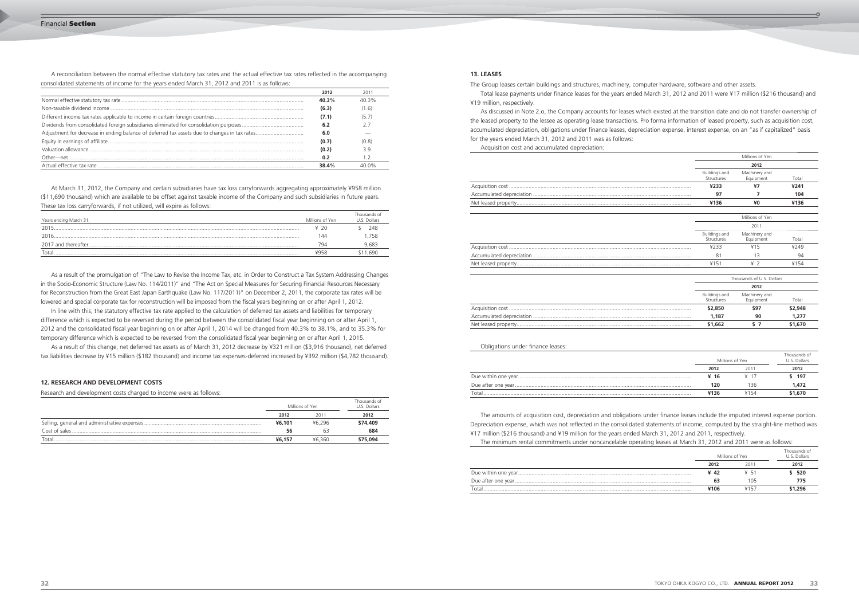A reconciliation between the normal effective statutory tax rates and the actual effective tax rates reflected in the accompanying consolidated statements of income for the years ended March 31, 2012 and 2011 is as follows:

| 2012  | 2011  |
|-------|-------|
| 40.3% | 40 3% |
| (6.3) | (1.6) |
| (7.1) | (5.7) |
| 6.2   | 27    |
| 6.0   |       |
| (0.7) | (0.8) |
| (0.2) | 3.9   |
| 0.2   |       |
| 38.4% | 40 ሰ% |
|       |       |

 At March 31, 2012, the Company and certain subsidiaries have tax loss carryforwards aggregating approximately ¥958 million (\$11,690 thousand) which are available to be offset against taxable income of the Company and such subsidiaries in future years. These tax loss carryforwards, if not utilized, will expire as follows:

| Years ending March 31, | Millions of Yen | Thousands of<br>U.S. Dollars |
|------------------------|-----------------|------------------------------|
| 2015                   | ¥ 20            | 248                          |
| 2016                   | 44              | .758                         |
|                        | 794             | 9,683                        |
| Tota <sub>i</sub>      | ¥958            | \$11.690                     |

 As a result of the promulgation of "The Law to Revise the Income Tax, etc. in Order to Construct a Tax System Addressing Changes in the Socio-Economic Structure (Law No. 114/2011)" and "The Act on Special Measures for Securing Financial Resources Necessary for Reconstruction from the Great East Japan Earthquake (Law No. 117/2011)" on December 2, 2011, the corporate tax rates will be lowered and special corporate tax for reconstruction will be imposed from the fiscal years beginning on or after April 1, 2012.

 In line with this, the statutory effective tax rate applied to the calculation of deferred tax assets and liabilities for temporary difference which is expected to be reversed during the period between the consolidated fiscal year beginning on or after April 1, 2012 and the consolidated fiscal year beginning on or after April 1, 2014 will be changed from 40.3% to 38.1%, and to 35.3% for temporary difference which is expected to be reversed from the consolidated fiscal year beginning on or after April 1, 2015.

 As a result of this change, net deferred tax assets as of March 31, 2012 decrease by ¥321 million (\$3,916 thousand), net deferred tax liabilities decrease by ¥15 million (\$182 thousand) and income tax expenses-deferred increased by ¥392 million (\$4,782 thousand).

Research and development costs charged to income were as follows:

|       | Millions of Yen |        | Thousands of<br>U.S. Dollars |
|-------|-----------------|--------|------------------------------|
|       | 2012            | 2011   | 2012                         |
|       | ¥6,101          | ¥6.296 | \$74,409                     |
|       | 56              |        | 684                          |
| Total | ¥6.157          | ¥6.360 | \$75,094                     |

# **12. RESEARCH AND DEVELOPMENT COSTS**

The Group leases certain buildings and structures, machinery, computer hardware, software and other assets. Total lease payments under finance leases for the years ended March 31, 2012 and 2011 were ¥17 million (\$216 thousand) and ¥19 million, respectively.

 As discussed in Note 2.o, the Company accounts for leases which existed at the transition date and do not transfer ownership of the leased property to the lessee as operating lease transactions. Pro forma information of leased property, such as acquisition cost, accumulated depreciation, obligations under finance leases, depreciation expense, interest expense, on an "as if capitalized" basis for the years ended March 31, 2012 and 2011 was as follows: Acquisition cost and accumulated depreciation:

|                                    | Millions of Yen            |         |
|------------------------------------|----------------------------|---------|
|                                    | 2012                       |         |
| <b>Buildings and</b><br>Structures | Machinery and<br>Equipment | Total   |
| ¥233                               | ¥7                         | ¥241    |
| 97                                 | 7                          | 104     |
| ¥136                               | ¥0                         | ¥136    |
|                                    | Millions of Yen            |         |
|                                    | 2011                       |         |
| Buildings and<br>Structures        | Machinery and<br>Equipment | Total   |
| ¥233                               | ¥15                        | ¥249    |
| 81                                 | 13                         | 94      |
| ¥151                               | 42                         | ¥154    |
|                                    | Thousands of U.S. Dollars  |         |
|                                    | 2012                       |         |
| <b>Buildings and</b><br>Structures | Machinery and<br>Equipment | Total   |
| \$2,850                            | \$97                       | \$2,948 |
| 1,187                              | 90                         | 1.277   |
| \$1,662                            | S <sub>7</sub>             | \$1,670 |

|                                    | Millions of Yen            |         |
|------------------------------------|----------------------------|---------|
|                                    | 2012                       |         |
| <b>Buildings and</b><br>Structures | Machinery and<br>Equipment | Total   |
| ¥233                               | Y7                         | ¥241    |
| 97                                 | 7                          | 104     |
| ¥136                               | ¥0                         | ¥136    |
|                                    | Millions of Yen            |         |
|                                    | 2011                       |         |
| <b>Buildings and</b><br>Structures | Machinery and<br>Equipment | Total   |
| ¥233                               | ¥15                        | ¥249    |
| 81                                 | 13                         | 94      |
| ¥151                               | 42                         | ¥154    |
|                                    | Thousands of U.S. Dollars  |         |
|                                    | 2012                       |         |
| <b>Buildings and</b><br>Structures | Machinery and<br>Equipment | Total   |
| \$2,850                            | \$97                       | \$2,948 |
| 1,187                              | 90                         | 1,277   |
| \$1,662                            | S <sub>7</sub>             | \$1,670 |

|                                    | Millions of Yen            |         |
|------------------------------------|----------------------------|---------|
|                                    | 2012                       |         |
| <b>Buildings and</b><br>Structures | Machinery and<br>Equipment | Total   |
| ¥233                               | Y7                         | ¥241    |
| 97                                 | 7                          | 104     |
| ¥136                               | ¥0                         | ¥136    |
|                                    | Millions of Yen            |         |
|                                    | 2011                       |         |
| Buildings and<br>Structures        | Machinery and<br>Equipment | Total   |
| ¥233                               | ¥15                        | ¥249    |
| 81                                 | 13                         | 94      |
| ¥151                               | 42                         | ¥154    |
|                                    | Thousands of U.S. Dollars  |         |
|                                    | 2012                       |         |
| <b>Buildings and</b><br>Structures | Machinery and<br>Equipment | Total   |
| \$2,850                            | \$97                       | \$2,948 |
| 1,187                              | 90                         | 1.277   |
| \$1,662                            | S <sub>7</sub>             | \$1,670 |

Obligations under finance leases:

|      | Thousands of<br>U.S. Dollars |                 |
|------|------------------------------|-----------------|
| 2012 | 2011                         | 2012            |
| ¥ 16 | $\times$ 17                  | \$ 197          |
| 120  | 136                          | 1.472           |
| ¥136 | ¥154                         | \$1,670         |
|      |                              | Millions of Yen |

 The amounts of acquisition cost, depreciation and obligations under finance leases include the imputed interest expense portion. Depreciation expense, which was not reflected in the consolidated statements of income, computed by the straight-line method was ¥17 million (\$216 thousand) and ¥19 million for the years ended March 31, 2012 and 2011, respectively. The minimum rental commitments under noncancelable operating leases at March 31, 2012 and 2011 were as follows:

|   |  | 520 |
|---|--|-----|
|   |  |     |
| . |  |     |

| The mimmum rental commitments ander noncancelable operating icases at march 3+, Long and Long were as rollows. |      |                 |                              |  |
|----------------------------------------------------------------------------------------------------------------|------|-----------------|------------------------------|--|
|                                                                                                                |      | Millions of Yen | Thousands of<br>U.S. Dollars |  |
|                                                                                                                | 2012 | 2011            | 2012                         |  |
|                                                                                                                | ¥ 42 | ¥ 51            | \$ 520                       |  |
|                                                                                                                |      | 105             | 775                          |  |
| Total                                                                                                          | ¥106 | ¥157            | \$1,296                      |  |
|                                                                                                                |      |                 |                              |  |

# **13. LEASES**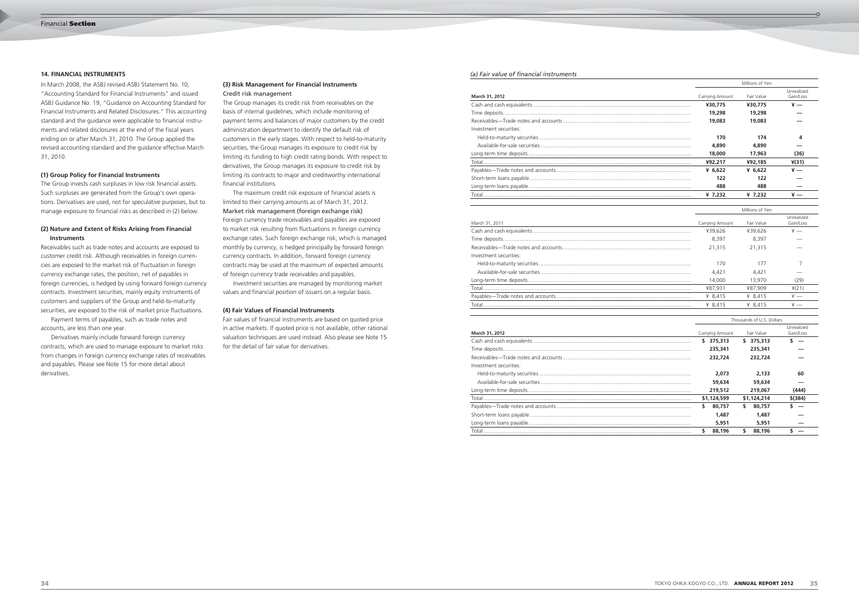In March 2008, the ASBJ revised ASBJ Statement No. 10, "Accounting Standard for Financial Instruments" and issued ASBJ Guidance No. 19, "Guidance on Accounting Standard for Financial Instruments and Related Disclosures." This accounting standard and the guidance were applicable to financial instruments and related disclosures at the end of the fiscal years ending on or after March 31, 2010. The Group applied the revised accounting standard and the guidance effective March 31, 2010.

# **(1) Group Policy for Financial Instruments**

The Group invests cash surpluses in low risk financial assets. Such surpluses are generated from the Group's own operations. Derivatives are used, not for speculative purposes, but to manage exposure to financial risks as described in (2) below.

# **(2) Nature and Extent of Risks Arising from Financial Instruments**

Receivables such as trade notes and accounts are exposed to customer credit risk. Although receivables in foreign currencies are exposed to the market risk of fluctuation in foreign currency exchange rates, the position, net of payables in foreign currencies, is hedged by using forward foreign currency contracts. Investment securities, mainly equity instruments of customers and suppliers of the Group and held-to-maturity securities, are exposed to the risk of market price fluctuations.

 Payment terms of payables, such as trade notes and accounts, are less than one year.

 Derivatives mainly include forward foreign currency contracts, which are used to manage exposure to market risks from changes in foreign currency exchange rates of receivables and payables. Please see Note 15 for more detail about derivatives.

# **14. FINANCIAL INSTRUMENTS**

# **(3) Risk Management for Financial Instruments**

Credit risk management The Group manages its credit risk from receivables on the basis of internal guidelines, which include monitoring of payment terms and balances of major customers by the credit administration department to identify the default risk of customers in the early stages. With respect to held-to-maturity securities, the Group manages its exposure to credit risk by limiting its funding to high credit rating bonds. With respect to derivatives, the Group manages its exposure to credit risk by limiting its contracts to major and creditworthy international financial institutions.

 The maximum credit risk exposure of financial assets is limited to their carrying amounts as of March 31, 2012. Foreign currency trade receivables and payables are exposed to market risk resulting from fluctuations in foreign currency exchange rates. Such foreign exchange risk, which is managed monthly by currency, is hedged principally by forward foreign currency contracts. In addition, forward foreign currency contracts may be used at the maximum of expected amounts of foreign currency trade receivables and payables.

 Investment securities are managed by monitoring market values and financial position of issuers on a regular basis.

# **(4) Fair Values of Financial Instruments**

Fair values of financial instruments are based on quoted price in active markets. If quoted price is not available, other rational valuation techniques are used instead. Also please see Note 15 for the detail of fair value for derivatives.

# *(a) Fair value of financial instruments*

### **March 31, 2012**

| Investment securities: |
|------------------------|
|                        |
|                        |
|                        |
|                        |
|                        |
|                        |
|                        |
|                        |

# March 31, 2011

| a, . an varac or mancial mouantenc |                 |            |                         |
|------------------------------------|-----------------|------------|-------------------------|
|                                    | Millions of Yen |            |                         |
| March 31, 2012                     | Carrying Amount | Fair Value | Unrealized<br>Gain/Loss |
|                                    | ¥30,775         | ¥30,775    | ¥ —                     |
|                                    | 19,298          | 19,298     |                         |
|                                    | 19,083          | 19,083     |                         |
| Investment securities:             |                 |            |                         |
|                                    | 170             | 174        | 4                       |
|                                    | 4,890           | 4,890      |                         |
|                                    | 18,000          | 17,963     | (36)                    |
|                                    | ¥92.217         | ¥92,185    | ¥(31)                   |
|                                    | ¥ $6,622$       | ¥ $6.622$  | ¥ —                     |
|                                    | 122             | 122        |                         |
|                                    | 488             | 488        |                         |
|                                    | ¥ $7.232$       | ¥ 7.232    |                         |

| Receivables-Trade notes and accounts |
|--------------------------------------|
| Investment securities:               |
|                                      |
|                                      |
|                                      |
|                                      |
| Payables-Trade notes and accounts    |
| エンチ・レート しゅうしょう しゅうしょう しゅうしょう         |

# **March 31, 2012**

|                        | Millions of Yen |            |                         |
|------------------------|-----------------|------------|-------------------------|
| March 31, 2011         | Carrying Amount | Fair Value | Unrealized<br>Gain/Loss |
|                        | ¥39.626         | ¥39.626    | ¥ —                     |
|                        | 8.397           | 8.397      |                         |
|                        | 21,315          | 21.315     |                         |
| Investment securities: |                 |            |                         |
|                        | 170             | 177        |                         |
|                        | 4.421           | 4.421      |                         |
|                        | 14,000          | 13,970     | (29)                    |
|                        | ¥87.931         | ¥87.909    | ¥(21)                   |
|                        | ¥ $8.415$       | ¥ $8.415$  | $\frac{1}{2}$           |
|                        | ¥ $8.415$       | ¥ $8.415$  |                         |

| Investment securities: |
|------------------------|
|                        |
|                        |
|                        |
|                        |
|                        |
|                        |
|                        |
|                        |

|                        |                 | Thousands of U.S. Dollars |                         |
|------------------------|-----------------|---------------------------|-------------------------|
| March 31, 2012         | Carrying Amount | Fair Value                | Unrealized<br>Gain/Loss |
|                        | 375,313<br>s.   | 375,313<br>s.             |                         |
|                        | 235,341         | 235,341                   |                         |
|                        | 232,724         | 232,724                   |                         |
| Investment securities: |                 |                           |                         |
|                        | 2.073           | 2,133                     | 60                      |
|                        | 59,634          | 59,634                    |                         |
|                        | 219,512         | 219,067                   | (444)                   |
|                        | \$1,124,599     | \$1,124,214               | $$$ (384)               |
|                        | 80.757<br>S.    | 80,757<br>s.              |                         |
|                        | 1,487           | 1,487                     |                         |
|                        | 5,951           | 5,951                     |                         |
|                        | \$<br>88,196    | 88,196                    |                         |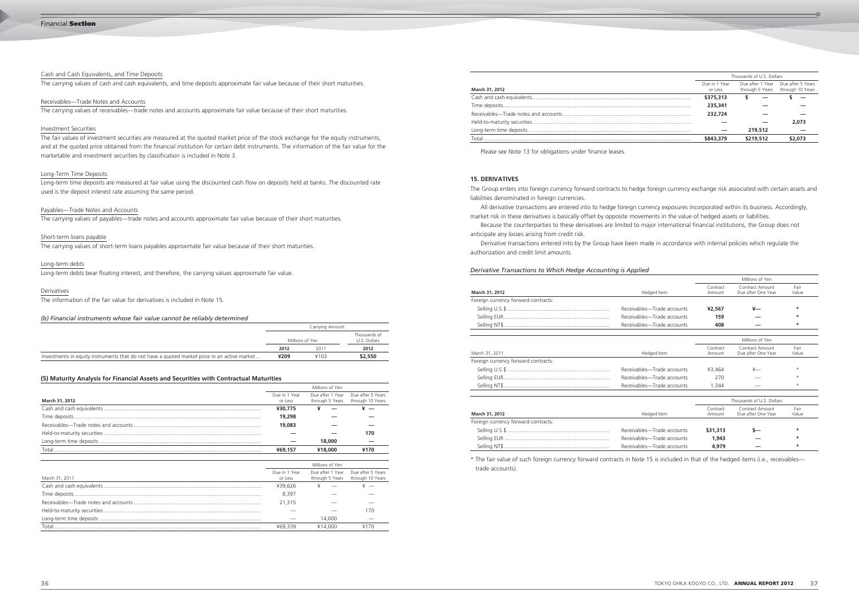# Cash and Cash Equivalents, and Time Deposits

The carrying values of cash and cash equivalents, and time deposits approximate fair value because of their short maturities.

# Receivables—Trade Notes and Accounts

The carrying values of receivables—trade notes and accounts approximate fair value because of their short maturities.

The fair values of investment securities are measured at the quoted market price of the stock exchange for the equity instruments, and at the quoted price obtained from the financial institution for certain debt instruments. The information of the fair value for the marketable and investment securities by classification is included in Note 3.

# Investment Securities

# Long-Term Time Deposits

Long-term time deposits are measured at fair value using the discounted cash flow on deposits held at banks. The discounted rate used is the deposit interest rate assuming the same period.

# Payables—Trade Notes and Accounts

The carrying values of payables—trade notes and accounts approximate fair value because of their short maturities.

# Short-term loans payable

The carrying values of short-term loans payables approximate fair value because of their short maturities.

# Long-term debts

Long-term debts bear floating interest, and therefore, the carrying values approximate fair value.

# Derivatives

The information of the fair value for derivatives is included in Note 15.

# *(b) Financial instruments whose fair value cannot be reliably determined*

|                                                                                              | Carrying Amount |      |                              |
|----------------------------------------------------------------------------------------------|-----------------|------|------------------------------|
|                                                                                              | Millions of Yen |      | Thousands of<br>U.S. Dollars |
|                                                                                              | 2012            | 2011 | 2012                         |
| Investments in equity instruments that do not have a quoted market price in an active market | ¥209            | ¥103 | \$2,550                      |

# **(5) Maturity Analysis for Financial Assets and Securities with Contractual Maturities**

|                |                          | Millions of Yen |                                                                        |
|----------------|--------------------------|-----------------|------------------------------------------------------------------------|
| March 31, 2012 | Due in 1 Year<br>or Less |                 | Due after 1 Year Due after 5 Years<br>through 5 Years through 10 Years |
|                | ¥30,775                  |                 |                                                                        |
|                | 19,298                   |                 |                                                                        |
|                | 19,083                   |                 |                                                                        |
|                |                          |                 | 170                                                                    |
|                |                          | 18,000          |                                                                        |
| Total          | ¥69,157                  | ¥18,000         | ¥170                                                                   |

|                |                          | Millions of Yen |                                                                        |
|----------------|--------------------------|-----------------|------------------------------------------------------------------------|
| March 31, 2011 | Due in 1 Year<br>or Less |                 | Due after 1 Year Due after 5 Years<br>through 5 Years through 10 Years |
|                | ¥39.626                  |                 |                                                                        |
|                | 8.397                    |                 |                                                                        |
|                | 21,315                   |                 |                                                                        |
|                |                          |                 | 170                                                                    |
|                |                          | 14.000          |                                                                        |
| Total          | ¥69.339                  | ¥14.000         |                                                                        |

|                |                          | Thousands of U.S. Dollars |                                                                        |
|----------------|--------------------------|---------------------------|------------------------------------------------------------------------|
| March 31, 2012 | Due in 1 Year<br>or Less |                           | Due after 1 Year Due after 5 Years<br>through 5 Years through 10 Years |
|                | \$375,313                |                           |                                                                        |
|                | 235,341                  |                           |                                                                        |
|                | 232,724                  |                           |                                                                        |
|                |                          |                           | 2,073                                                                  |
|                |                          | 219,512                   |                                                                        |
| Total          | \$843,379                | \$219,512                 | \$2,073                                                                |

Please see Note 13 for obligations under finance leases.

The Group enters into foreign currency forward contracts to hedge foreign currency exchange risk associated with certain assets and liabilities denominated in foreign currencies.

- All derivative transactions are entered into to hedge foreign currency exposures incorporated within its business. Accordingly, market risk in these derivatives is basically offset by opposite movements in the value of hedged assets or liabilities.
	-

Because the counterparties to these derivatives are limited to major international financial institutions, the Group does not

anticipate any losses arising from credit risk.

Derivative transactions entered into by the Group have been made in accordance with internal policies which regulate the

authorization and credit limit amounts.

# *Derivative Transactions to Which Hedge Accounting is Applied*

|                                     |                            |          | Millions of Yen           |          |
|-------------------------------------|----------------------------|----------|---------------------------|----------|
|                                     |                            | Contract | Contract Amount           | Fair     |
| March 31, 2012                      | Hedged Item                | Amount   | Due after One Year        | Value    |
| Foreign currency forward contracts: |                            |          |                           |          |
|                                     | Receivables-Trade accounts | ¥2,567   | ¥—                        | $\ast$   |
|                                     | Receivables-Trade accounts | 159      |                           | $\ast$   |
|                                     | Receivables-Trade accounts | 408      |                           | $\ast$   |
|                                     |                            |          | Millions of Yen           |          |
|                                     |                            |          |                           |          |
|                                     |                            | Contract | Contract Amount           | Fair     |
| March 31, 2011                      | Hedged Item                | Amount   | Due after One Year        | Value    |
| Foreign currency forward contracts: |                            |          |                           |          |
|                                     | Receivables-Trade accounts | ¥3,464   | $\frac{1}{2}$             | $\star$  |
|                                     | Receivables-Trade accounts | 270      |                           | $\star$  |
|                                     | Receivables-Trade accounts | 1,344    |                           | $^\star$ |
|                                     |                            |          |                           |          |
|                                     |                            |          | Thousands of U.S. Dollars |          |
|                                     |                            | Contract | Contract Amount           | Fair     |
| March 31, 2012                      | Hedged Item                | Amount   | Due after One Year        | Value    |
| Foreign currency forward contracts: |                            |          |                           |          |
|                                     | Receivables-Trade accounts | \$31,313 |                           | $\ast$   |
|                                     | Receivables-Trade accounts | 1,943    |                           | $\ast$   |
|                                     | Receivables-Trade accounts | 4,979    |                           | $\ast$   |
|                                     |                            |          |                           |          |

|                                     |                            |                    | Millions of Yen                       |               |
|-------------------------------------|----------------------------|--------------------|---------------------------------------|---------------|
| March 31, 2012                      | Hedged Item                | Contract<br>Amount | Contract Amount<br>Due after One Year | Fair<br>Value |
| Foreign currency forward contracts: |                            |                    |                                       |               |
|                                     | Receivables-Trade accounts | ¥2,567             | ¥—                                    | $\ast$        |
|                                     | Receivables-Trade accounts | 159                |                                       | $\ast$        |
|                                     | Receivables-Trade accounts | 408                |                                       | $\ast$        |
|                                     |                            |                    | Millions of Yen                       |               |
| March 31, 2011                      | Hedged Item                | Contract<br>Amount | Contract Amount<br>Due after One Year | Fair<br>Value |
| Foreign currency forward contracts: |                            |                    |                                       |               |
|                                     | Receivables-Trade accounts | ¥3,464             | $\frac{1}{2}$                         | $\star$       |
|                                     | Receivables-Trade accounts | 270                |                                       | $\star$       |
|                                     | Receivables-Trade accounts | 1.344              |                                       | $\star$       |
|                                     |                            |                    | Thousands of U.S. Dollars             |               |
| March 31, 2012                      | Hedged Item                | Contract<br>Amount | Contract Amount<br>Due after One Year | Fair<br>Value |
| Foreign currency forward contracts: |                            |                    |                                       |               |
|                                     | Receivables-Trade accounts | \$31,313           |                                       | $\ast$        |
|                                     | Receivables-Trade accounts | 1,943              |                                       | $\ast$        |
|                                     | Receivables-Trade accounts | 4,979              |                                       | $\ast$        |

|                                     |                            |                    | Millions of Yen                       |               |
|-------------------------------------|----------------------------|--------------------|---------------------------------------|---------------|
| March 31, 2012                      | Hedged Item                | Contract<br>Amount | Contract Amount<br>Due after One Year | Fair<br>Value |
| Foreign currency forward contracts: |                            |                    |                                       |               |
|                                     | Receivables-Trade accounts | ¥2,567             | ¥—                                    | $\ast$        |
|                                     | Receivables-Trade accounts | 159                |                                       | $\ast$        |
|                                     | Receivables-Trade accounts | 408                |                                       | $\ast$        |
|                                     |                            |                    |                                       |               |
|                                     |                            |                    | Millions of Yen                       |               |
| March 31, 2011                      | Hedged Item                | Contract<br>Amount | Contract Amount<br>Due after One Year | Fair<br>Value |
| Foreign currency forward contracts: |                            |                    |                                       |               |
|                                     | Receivables-Trade accounts | ¥3,464             | $\frac{1}{x}$                         | $\star$       |
|                                     | Receivables-Trade accounts | 270                |                                       | $\star$       |
|                                     | Receivables-Trade accounts | 1,344              |                                       | $\star$       |
|                                     |                            |                    |                                       |               |
|                                     |                            |                    | Thousands of U.S. Dollars             |               |
| March 31, 2012                      | Hedged Item                | Contract<br>Amount | Contract Amount<br>Due after One Year | Fair<br>Value |
| Foreign currency forward contracts: |                            |                    |                                       |               |
|                                     | Receivables-Trade accounts | \$31,313           |                                       | *             |
|                                     | Receivables-Trade accounts | 1,943              |                                       | $\ast$        |
|                                     | Receivables-Trade accounts | 4,979              |                                       | $\ast$        |
|                                     |                            |                    |                                       |               |

\* The fair value of such foreign currency forward contracts in Note 15 is included in that of the hedged items (i.e., receivables trade accounts).

# **15. DERIVATIVES**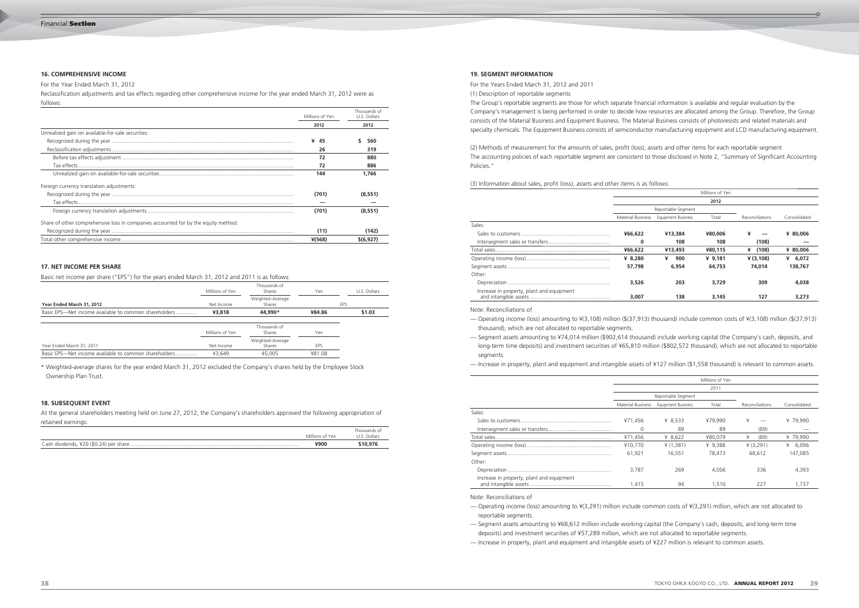| follows: |
|----------|
|          |

# For the Year Ended March 31, 2012

Reclassification adjustments and tax effects regarding other comprehensive income for the year ended March 31, 2012 were as follows:

|                                                                                    | Millions of Yen | Thousands of<br>U.S. Dollars |  |
|------------------------------------------------------------------------------------|-----------------|------------------------------|--|
|                                                                                    | 2012            | 2012                         |  |
| Unrealized gain on available-for-sale securities:                                  |                 |                              |  |
|                                                                                    | ¥<br>45         | 560                          |  |
|                                                                                    | 26              | 319                          |  |
|                                                                                    | 72              | 880                          |  |
|                                                                                    | 72              | 886                          |  |
|                                                                                    | 144             | 1,766                        |  |
| Foreign currency translation adjustments:                                          |                 |                              |  |
|                                                                                    | (701)           | (8.551)                      |  |
|                                                                                    |                 |                              |  |
|                                                                                    | (701)           | (8,551)                      |  |
| Share of other comprehensive loss in companies accounted for by the equity method: |                 |                              |  |
|                                                                                    | (11)            | (142)                        |  |
|                                                                                    | $*(568)$        | \$(6.927)                    |  |

Basic net income per share ("EPS") for the years ended March 31, 2012 and 2011 is as follows:

|                                                       | Millions of Yen | Thousands of<br>Shares     | Yen    | U.S. Dollars |
|-------------------------------------------------------|-----------------|----------------------------|--------|--------------|
| Year Ended March 31, 2012                             | Net Income      | Weighted-Average<br>Shares |        | EPS          |
| Basic EPS—Net income available to common shareholders | ¥3,818          | 44,990*                    | ¥84.86 | \$1.03       |
|                                                       |                 |                            |        |              |
|                                                       | Millions of Yen | Thousands of<br>Shares     | Yen    |              |
| Year Ended March 31, 2011                             | Net Income      | Weighted-Average<br>Shares | EPS    |              |
| Basic EPS-Net income available to common shareholders | ¥3.649          | 45,005                     | ¥81.08 |              |

\* Weighted-average shares for the year ended March 31, 2012 excluded the Company's shares held by the Employee Stock Ownership Plan Trust.

# **16. COMPREHENSIVE INCOME**

# **17. NET INCOME PER SHARE**

At the general shareholders meeting held on June 27, 2012, the Company's shareholders approved the following appropriation of retained earnings:

|                                           | Millions of Yen | Thousands of<br>Dollars |
|-------------------------------------------|-----------------|-------------------------|
| Cash dividends, ¥20 (\$0.24)<br>per share | ¥900            |                         |

# **18. SUBSEQUENT EVENT**

For the Years Ended March 31, 2012 and 2011

(1) Description of reportable segments

The Group's reportable segments are those for which separate financial information is available and regular evaluation by the Company's management is being performed in order to decide how resources are allocated among the Group. Therefore, the Group consists of the Material Business and Equipment Business. The Material Business consists of photoresists and related materials and specialty chemicals. The Equipment Business consists of semiconductor manufacturing equipment and LCD manufacturing equipment.

- Operating income (loss) amounting to ¥(3,291) million include common costs of ¥(3,291) million, which are not allocated to reportable segments.
- Segment assets amounting to ¥68,612 million include working capital (the Company's cash, deposits, and long-term time deposits) and investment securities of ¥57,289 million, which are not allocated to reportable segments.

(2) Methods of measurement for the amounts of sales, profit (loss), assets and other items for each reportable segment The accounting policies of each reportable segment are consistent to those disclosed in Note 2, "Summary of Significant Accounting Policies."

(3) Information about sales, profit (loss), assets and other items is as

|                                           |                          |                           | Millions of Yen |                 |              |
|-------------------------------------------|--------------------------|---------------------------|-----------------|-----------------|--------------|
|                                           |                          |                           | 2012            |                 |              |
|                                           | Reportable Segment       |                           |                 |                 |              |
|                                           | <b>Material Business</b> | <b>Equipment Business</b> | Total           | Reconciliations | Consolidated |
| Sales:                                    |                          |                           |                 |                 |              |
|                                           | ¥66,622                  | ¥13,384                   | ¥80,006         | ¥               | ¥ 80,006     |
|                                           | 0                        | 108                       | 108             | (108)           |              |
|                                           | ¥66,622                  | ¥13,493                   | ¥80,115         | (108)<br>¥      | ¥ 80,006     |
|                                           | ¥ 8.280                  | ¥<br>900                  | ¥ $9,181$       | ¥ (3,108)       | ¥ $6,072$    |
|                                           | 57.798                   | 6,954                     | 64,753          | 74.014          | 138,767      |
| Other:                                    |                          |                           |                 |                 |              |
|                                           | 3,526                    | 203                       | 3,729           | 309             | 4,038        |
| Increase in property, plant and equipment | 3,007                    | 138                       | 3,145           | 127             | 3,273        |

Note: Reconciliations of

— Operating income (loss) amounting to ¥(3,108) million (\$(37,913) thousand) include common costs of ¥(3,108) million (\$(37,913)

— Segment assets amounting to ¥74,014 million (\$902,614 thousand) include working capital (the Company's cash, deposits, and

- thousand), which are not allocated to reportable segments.
- long-term time deposits) and investment securities of ¥65,810 million (\$802,572 thousand), which are not allocated to reportable segments.
- Increase in property, plant and equipment and intangible assets of ¥127 million (\$1,558 thousand) is relevant to common assets.

|                                           |                          |                           | Millions of Yen |                 |              |
|-------------------------------------------|--------------------------|---------------------------|-----------------|-----------------|--------------|
|                                           |                          |                           | 2011            |                 |              |
|                                           | Reportable Segment       |                           |                 |                 |              |
|                                           | <b>Material Business</b> | <b>Equipment Business</b> | Total           | Reconciliations | Consolidated |
| Sales:                                    |                          |                           |                 |                 |              |
|                                           | ¥71.456                  | ¥ 8,533                   | ¥79.990         | ¥               | ¥79.990      |
|                                           | $\Omega$                 | 89                        | 89              | (89)            |              |
|                                           | ¥71,456                  | ¥ $8,622$                 | ¥80.079         | ¥<br>(89)       | ¥ 79,990     |
|                                           | ¥10.770                  | ¥ (1,381)                 | ¥ 9.388         | ¥ (3,291)       | 6.096<br>¥   |
|                                           | 61.921                   | 16,551                    | 78,473          | 68,612          | 147.085      |
| Other:                                    |                          |                           |                 |                 |              |
|                                           | 3.787                    | 269                       | 4,056           | 336             | 4,393        |
| Increase in property, plant and equipment | 1.415                    | 94                        | 1.510           | 227             | 1.737        |

Note: Reconciliations of

— Increase in property, plant and equipment and intangible assets of ¥227 million is relevant to common assets.

# **19. SEGMENT INFORMATION**